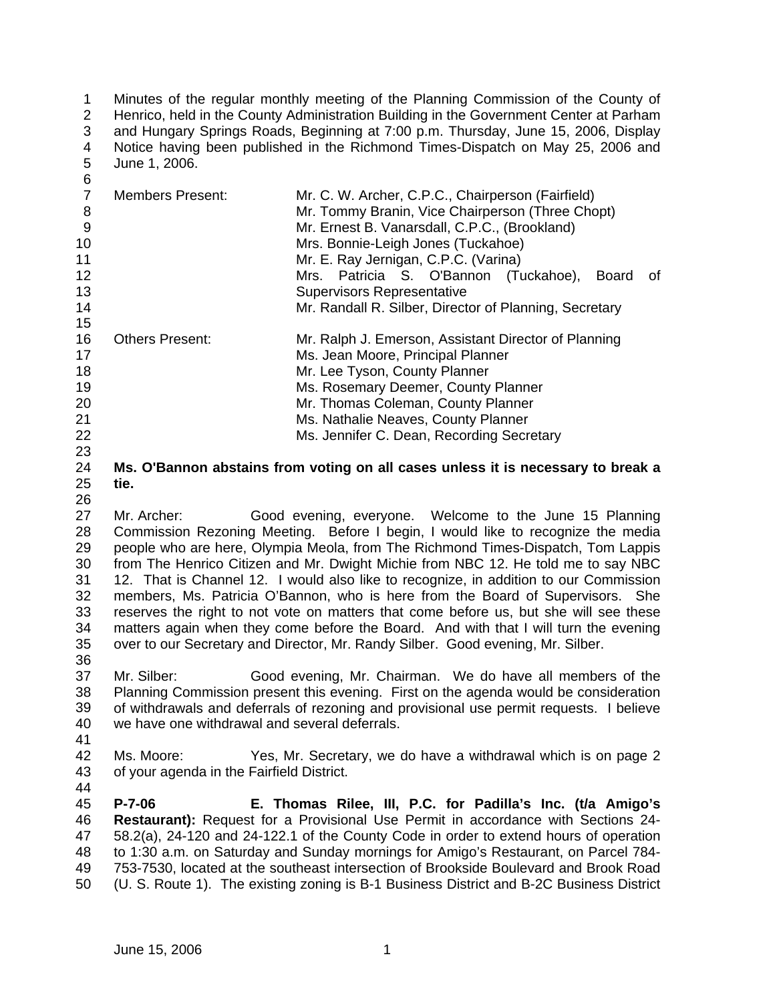1 2 3 4 5 6 Minutes of the regular monthly meeting of the Planning Commission of the County of Henrico, held in the County Administration Building in the Government Center at Parham and Hungary Springs Roads, Beginning at 7:00 p.m. Thursday, June 15, 2006, Display Notice having been published in the Richmond Times-Dispatch on May 25, 2006 and June 1, 2006.

| v  |                         |                                                        |
|----|-------------------------|--------------------------------------------------------|
|    | <b>Members Present:</b> | Mr. C. W. Archer, C.P.C., Chairperson (Fairfield)      |
| 8  |                         | Mr. Tommy Branin, Vice Chairperson (Three Chopt)       |
| 9  |                         | Mr. Ernest B. Vanarsdall, C.P.C., (Brookland)          |
| 10 |                         | Mrs. Bonnie-Leigh Jones (Tuckahoe)                     |
| 11 |                         | Mr. E. Ray Jernigan, C.P.C. (Varina)                   |
| 12 |                         | Mrs. Patricia S. O'Bannon (Tuckahoe),<br>Board<br>0f   |
| 13 |                         | <b>Supervisors Representative</b>                      |
| 14 |                         | Mr. Randall R. Silber, Director of Planning, Secretary |
| 15 |                         |                                                        |
| 16 | <b>Others Present:</b>  | Mr. Ralph J. Emerson, Assistant Director of Planning   |
| 17 |                         | Ms. Jean Moore, Principal Planner                      |
| 18 |                         | Mr. Lee Tyson, County Planner                          |
| 19 |                         | Ms. Rosemary Deemer, County Planner                    |
| 20 |                         | Mr. Thomas Coleman, County Planner                     |
| 21 |                         | Ms. Nathalie Neaves, County Planner                    |
| 22 |                         | Ms. Jennifer C. Dean, Recording Secretary              |

24 25 **Ms. O'Bannon abstains from voting on all cases unless it is necessary to break a tie.** 

26

23

27 28 29 30 31 32 33 34 35 36 Mr. Archer: Good evening, everyone. Welcome to the June 15 Planning Commission Rezoning Meeting. Before I begin, I would like to recognize the media people who are here, Olympia Meola, from The Richmond Times-Dispatch, Tom Lappis from The Henrico Citizen and Mr. Dwight Michie from NBC 12. He told me to say NBC 12. That is Channel 12. I would also like to recognize, in addition to our Commission members, Ms. Patricia O'Bannon, who is here from the Board of Supervisors. She reserves the right to not vote on matters that come before us, but she will see these matters again when they come before the Board. And with that I will turn the evening over to our Secretary and Director, Mr. Randy Silber. Good evening, Mr. Silber.

37 38 39 40 Mr. Silber: Good evening, Mr. Chairman. We do have all members of the Planning Commission present this evening. First on the agenda would be consideration of withdrawals and deferrals of rezoning and provisional use permit requests. I believe we have one withdrawal and several deferrals.

41

42 43 44 Ms. Moore: Yes, Mr. Secretary, we do have a withdrawal which is on page 2 of your agenda in the Fairfield District.

45 46 47 48 49 50 **P-7-06 E. Thomas Rilee, III, P.C. for Padilla's Inc. (t/a Amigo's Restaurant):** Request for a Provisional Use Permit in accordance with Sections 24- 58.2(a), 24-120 and 24-122.1 of the County Code in order to extend hours of operation to 1:30 a.m. on Saturday and Sunday mornings for Amigo's Restaurant, on Parcel 784- 753-7530, located at the southeast intersection of Brookside Boulevard and Brook Road (U. S. Route 1). The existing zoning is B-1 Business District and B-2C Business District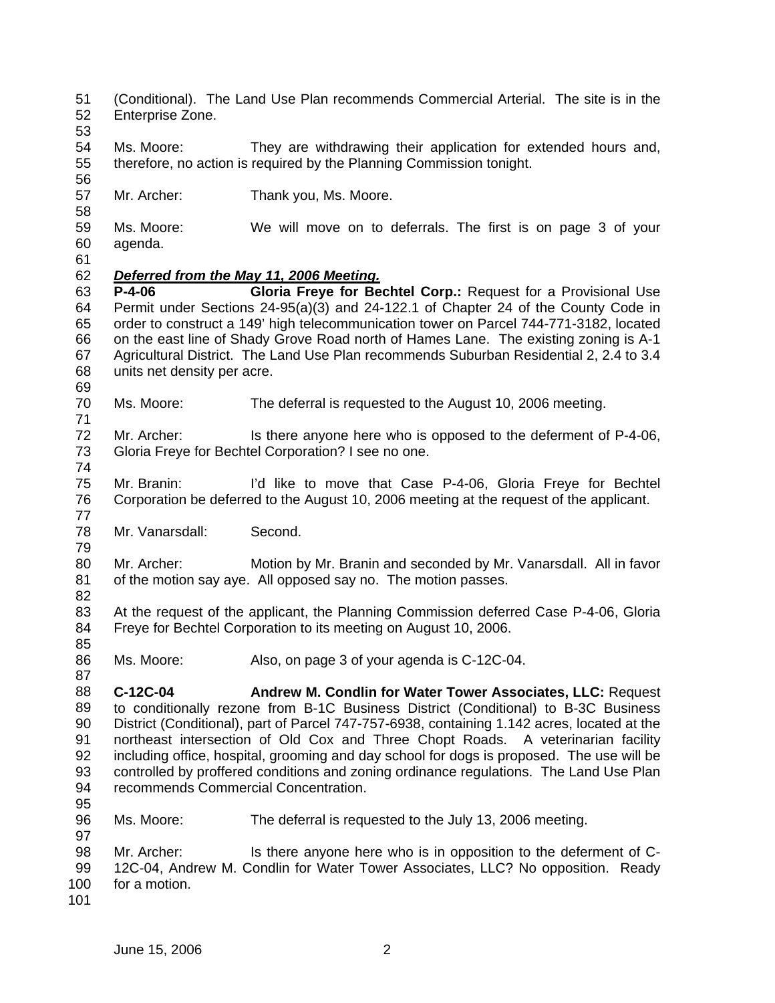- 51 52 (Conditional). The Land Use Plan recommends Commercial Arterial. The site is in the Enterprise Zone.
- 53

58

54 55 Ms. Moore: They are withdrawing their application for extended hours and, therefore, no action is required by the Planning Commission tonight.

- 57 Mr. Archer: Thank you, Ms. Moore.
- 59 60 Ms. Moore: We will move on to deferrals. The first is on page 3 of your agenda.
- 61

71

77

79

82

85

87

## 62 *Deferred from the May 11, 2006 Meeting.*

63 64 65 66 67 68 69 **P-4-06 Gloria Freye for Bechtel Corp.:** Request for a Provisional Use Permit under Sections 24-95(a)(3) and 24-122.1 of Chapter 24 of the County Code in order to construct a 149' high telecommunication tower on Parcel 744-771-3182, located on the east line of Shady Grove Road north of Hames Lane. The existing zoning is A-1 Agricultural District. The Land Use Plan recommends Suburban Residential 2, 2.4 to 3.4 units net density per acre.

- 70 Ms. Moore: The deferral is requested to the August 10, 2006 meeting.
- 72 73 74 Mr. Archer: Is there anyone here who is opposed to the deferment of P-4-06, Gloria Freye for Bechtel Corporation? I see no one.
- 75 76 Mr. Branin: I'd like to move that Case P-4-06, Gloria Freye for Bechtel Corporation be deferred to the August 10, 2006 meeting at the request of the applicant.
- 78 Mr. Vanarsdall: Second.
- 80 81 Mr. Archer: Motion by Mr. Branin and seconded by Mr. Vanarsdall. All in favor of the motion say aye. All opposed say no. The motion passes.
- 83 84 At the request of the applicant, the Planning Commission deferred Case P-4-06, Gloria Freye for Bechtel Corporation to its meeting on August 10, 2006.
- 86 Ms. Moore: Also, on page 3 of your agenda is C-12C-04.
- 88 89 90 91 92 93 94 **C-12C-04 Andrew M. Condlin for Water Tower Associates, LLC:** Request to conditionally rezone from B-1C Business District (Conditional) to B-3C Business District (Conditional), part of Parcel 747-757-6938, containing 1.142 acres, located at the northeast intersection of Old Cox and Three Chopt Roads. A veterinarian facility including office, hospital, grooming and day school for dogs is proposed. The use will be controlled by proffered conditions and zoning ordinance regulations. The Land Use Plan recommends Commercial Concentration.
- 95 96

97

Ms. Moore: The deferral is requested to the July 13, 2006 meeting.

98 99 100 101 Mr. Archer: Is there anyone here who is in opposition to the deferment of C-12C-04, Andrew M. Condlin for Water Tower Associates, LLC? No opposition. Ready for a motion.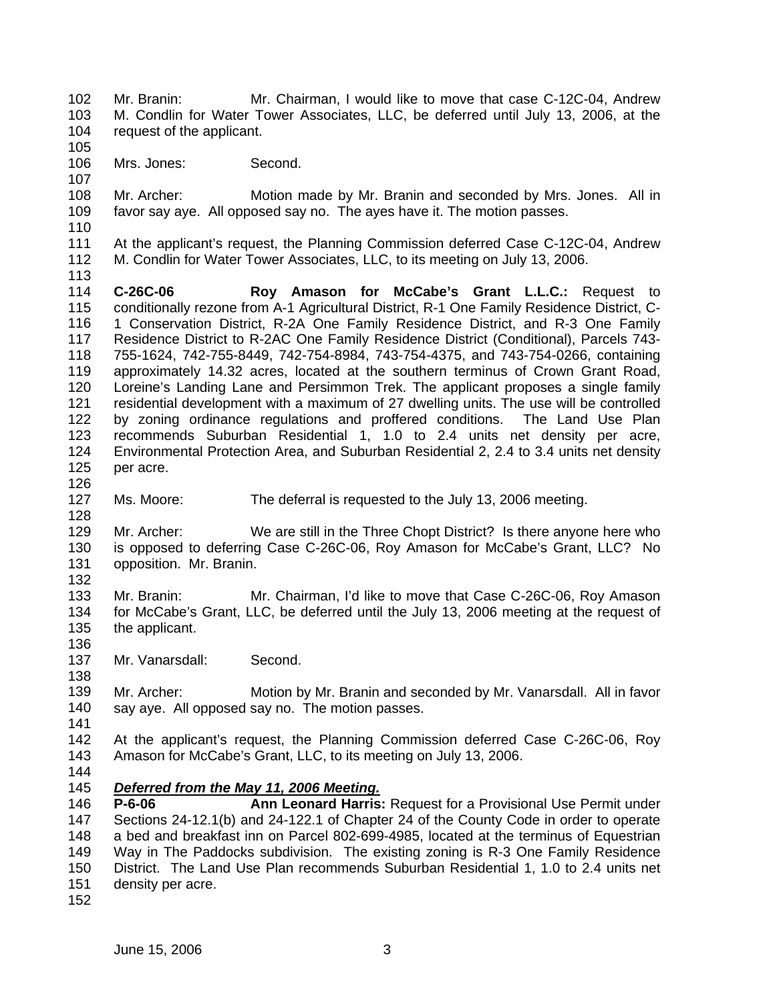102 103 104 105 106 107 108 109 110 111 112 113 114 115 116 117 118 119 120 121 122 123 124 125 126 127 128 129 130 131 132 133 134 135 136 137 138 139 140 141 142 143 144 Mr. Branin: Mr. Chairman, I would like to move that case C-12C-04, Andrew M. Condlin for Water Tower Associates, LLC, be deferred until July 13, 2006, at the request of the applicant. Mrs. Jones: Second. Mr. Archer: Motion made by Mr. Branin and seconded by Mrs. Jones. All in favor say aye. All opposed say no. The ayes have it. The motion passes. At the applicant's request, the Planning Commission deferred Case C-12C-04, Andrew M. Condlin for Water Tower Associates, LLC, to its meeting on July 13, 2006. **C-26C-06 Roy Amason for McCabe's Grant L.L.C.:** Request to conditionally rezone from A-1 Agricultural District, R-1 One Family Residence District, C-1 Conservation District, R-2A One Family Residence District, and R-3 One Family Residence District to R-2AC One Family Residence District (Conditional), Parcels 743- 755-1624, 742-755-8449, 742-754-8984, 743-754-4375, and 743-754-0266, containing approximately 14.32 acres, located at the southern terminus of Crown Grant Road, Loreine's Landing Lane and Persimmon Trek. The applicant proposes a single family residential development with a maximum of 27 dwelling units. The use will be controlled by zoning ordinance regulations and proffered conditions. The Land Use Plan recommends Suburban Residential 1, 1.0 to 2.4 units net density per acre, Environmental Protection Area, and Suburban Residential 2, 2.4 to 3.4 units net density per acre. Ms. Moore: The deferral is requested to the July 13, 2006 meeting. Mr. Archer: We are still in the Three Chopt District? Is there anyone here who is opposed to deferring Case C-26C-06, Roy Amason for McCabe's Grant, LLC? No opposition. Mr. Branin. Mr. Branin: Mr. Chairman, I'd like to move that Case C-26C-06, Roy Amason for McCabe's Grant, LLC, be deferred until the July 13, 2006 meeting at the request of the applicant. Mr. Vanarsdall: Second. Mr. Archer: Motion by Mr. Branin and seconded by Mr. Vanarsdall. All in favor say aye. All opposed say no. The motion passes. At the applicant's request, the Planning Commission deferred Case C-26C-06, Roy Amason for McCabe's Grant, LLC, to its meeting on July 13, 2006. 145 146 147 148 149 150 151 *Deferred from the May 11, 2006 Meeting.* **P-6-06 Ann Leonard Harris:** Request for a Provisional Use Permit under Sections 24-12.1(b) and 24-122.1 of Chapter 24 of the County Code in order to operate a bed and breakfast inn on Parcel 802-699-4985, located at the terminus of Equestrian Way in The Paddocks subdivision. The existing zoning is R-3 One Family Residence District. The Land Use Plan recommends Suburban Residential 1, 1.0 to 2.4 units net density per acre.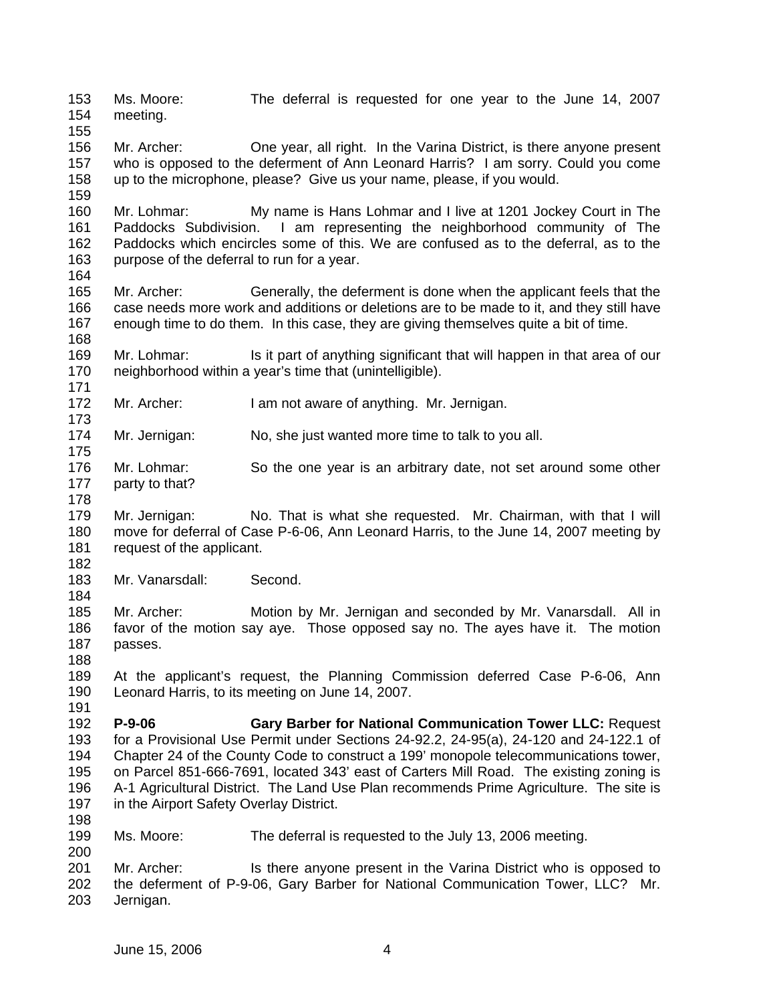153 154 155 156 157 158 159 160 161 162 163 164 165 166 167 168 169 170 171 172 173 174 175 176 177 178 179 180 181 182 183 184 185 186 187 188 189 190 191 192 193 194 195 196 197 198 199 200 201 202 203 Ms. Moore: The deferral is requested for one year to the June 14, 2007 meeting. Mr. Archer: One year, all right. In the Varina District, is there anyone present who is opposed to the deferment of Ann Leonard Harris? I am sorry. Could you come up to the microphone, please? Give us your name, please, if you would. Mr. Lohmar: My name is Hans Lohmar and I live at 1201 Jockey Court in The Paddocks Subdivision. I am representing the neighborhood community of The Paddocks which encircles some of this. We are confused as to the deferral, as to the purpose of the deferral to run for a year. Mr. Archer: Generally, the deferment is done when the applicant feels that the case needs more work and additions or deletions are to be made to it, and they still have enough time to do them. In this case, they are giving themselves quite a bit of time. Mr. Lohmar: Is it part of anything significant that will happen in that area of our neighborhood within a year's time that (unintelligible). Mr. Archer: I am not aware of anything. Mr. Jernigan. Mr. Jernigan: No, she just wanted more time to talk to you all. Mr. Lohmar: So the one year is an arbitrary date, not set around some other party to that? Mr. Jernigan: No. That is what she requested. Mr. Chairman, with that I will move for deferral of Case P-6-06, Ann Leonard Harris, to the June 14, 2007 meeting by request of the applicant. Mr. Vanarsdall: Second. Mr. Archer: Motion by Mr. Jernigan and seconded by Mr. Vanarsdall. All in favor of the motion say aye. Those opposed say no. The ayes have it. The motion passes. At the applicant's request, the Planning Commission deferred Case P-6-06, Ann Leonard Harris, to its meeting on June 14, 2007. **P-9-06 Gary Barber for National Communication Tower LLC:** Request for a Provisional Use Permit under Sections 24-92.2, 24-95(a), 24-120 and 24-122.1 of Chapter 24 of the County Code to construct a 199' monopole telecommunications tower, on Parcel 851-666-7691, located 343' east of Carters Mill Road. The existing zoning is A-1 Agricultural District. The Land Use Plan recommends Prime Agriculture. The site is in the Airport Safety Overlay District. Ms. Moore: The deferral is requested to the July 13, 2006 meeting. Mr. Archer: Is there anyone present in the Varina District who is opposed to the deferment of P-9-06, Gary Barber for National Communication Tower, LLC? Mr. Jernigan.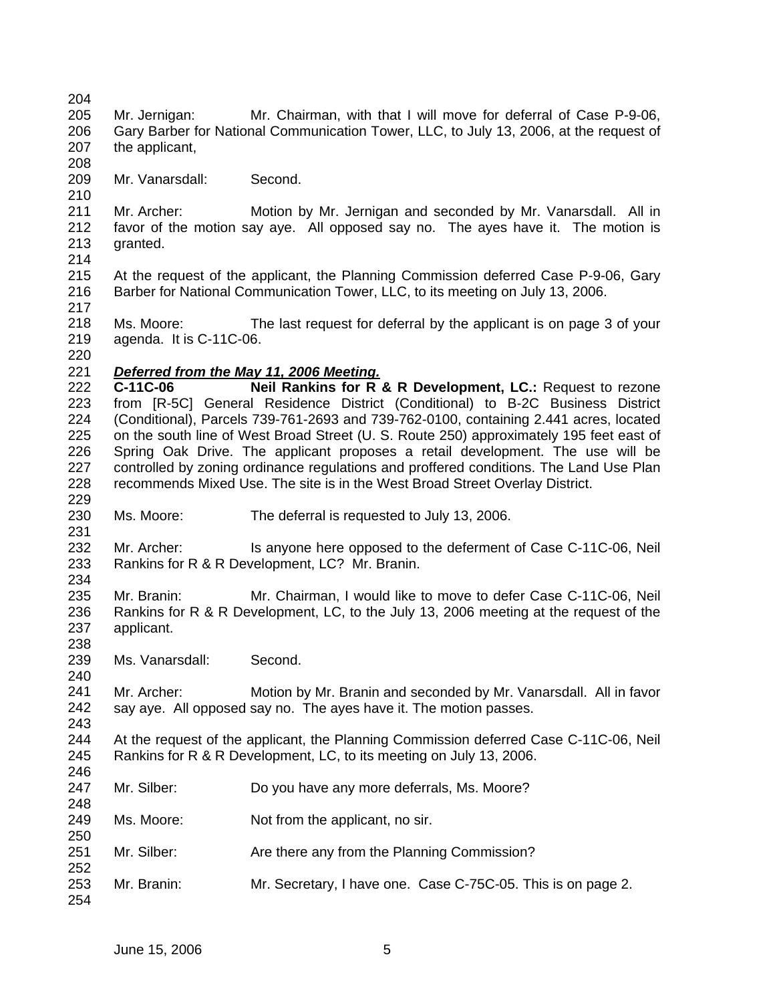208

210

- 205 206 207 Mr. Jernigan: Mr. Chairman, with that I will move for deferral of Case P-9-06, Gary Barber for National Communication Tower, LLC, to July 13, 2006, at the request of the applicant,
- 209 Mr. Vanarsdall: Second.

211 212 213 214 Mr. Archer: Motion by Mr. Jernigan and seconded by Mr. Vanarsdall. All in favor of the motion say aye. All opposed say no. The ayes have it. The motion is granted.

215 216 217 At the request of the applicant, the Planning Commission deferred Case P-9-06, Gary Barber for National Communication Tower, LLC, to its meeting on July 13, 2006.

218 219 Ms. Moore: The last request for deferral by the applicant is on page 3 of your agenda. It is C-11C-06.

220

229

231

240

243

246

248

252

254

## 221 *Deferred from the May 11, 2006 Meeting.*

222 223 224 225 226 227 228 **C-11C-06 Neil Rankins for R & R Development, LC.:** Request to rezone from [R-5C] General Residence District (Conditional) to B-2C Business District (Conditional), Parcels 739-761-2693 and 739-762-0100, containing 2.441 acres, located on the south line of West Broad Street (U. S. Route 250) approximately 195 feet east of Spring Oak Drive. The applicant proposes a retail development. The use will be controlled by zoning ordinance regulations and proffered conditions. The Land Use Plan recommends Mixed Use. The site is in the West Broad Street Overlay District.

230 Ms. Moore: The deferral is requested to July 13, 2006.

232 233 234 Mr. Archer: Is anyone here opposed to the deferment of Case C-11C-06, Neil Rankins for R & R Development, LC? Mr. Branin.

235 236 237 238 Mr. Branin: Mr. Chairman, I would like to move to defer Case C-11C-06, Neil Rankins for R & R Development, LC, to the July 13, 2006 meeting at the request of the applicant.

239 Ms. Vanarsdall: Second.

241 242 Mr. Archer: Motion by Mr. Branin and seconded by Mr. Vanarsdall. All in favor say aye. All opposed say no. The ayes have it. The motion passes.

244 245 At the request of the applicant, the Planning Commission deferred Case C-11C-06, Neil Rankins for R & R Development, LC, to its meeting on July 13, 2006.

- 247 Mr. Silber: Do you have any more deferrals, Ms. Moore?
- 249 250 Ms. Moore: Not from the applicant, no sir.
- 251 Mr. Silber: Are there any from the Planning Commission?
- 253 Mr. Branin: Mr. Secretary, I have one. Case C-75C-05. This is on page 2.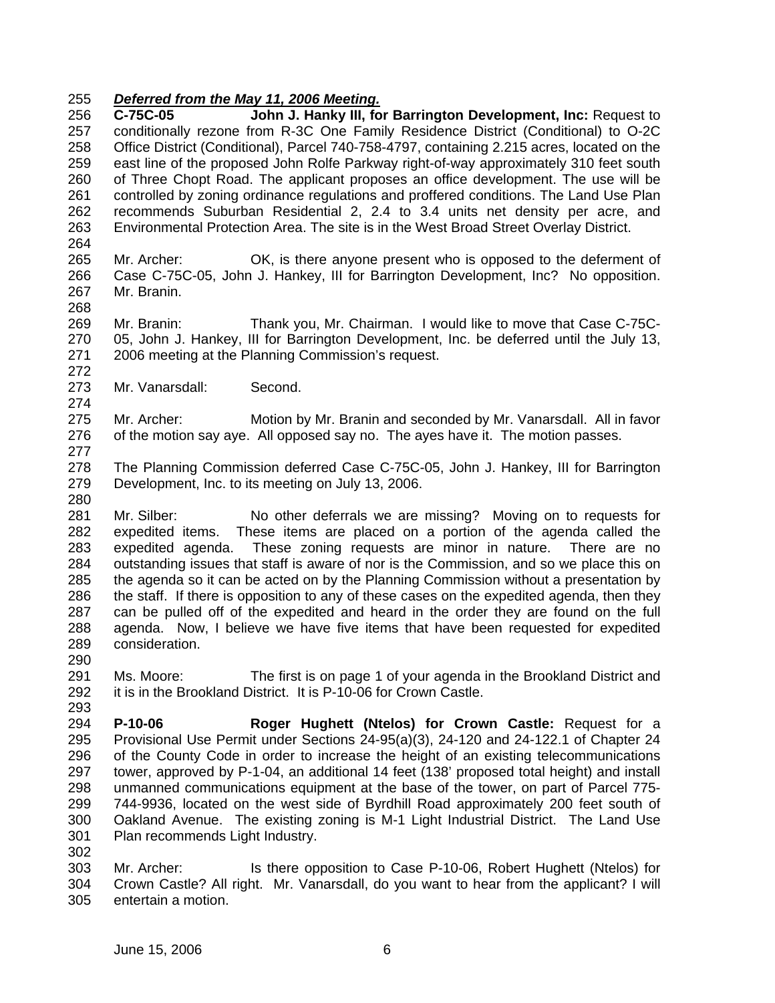## 255 *Deferred from the May 11, 2006 Meeting.*

256 257 258 259 260 261 262 263 264 **C-75C-05 John J. Hanky III, for Barrington Development, Inc:** Request to conditionally rezone from R-3C One Family Residence District (Conditional) to O-2C Office District (Conditional), Parcel 740-758-4797, containing 2.215 acres, located on the east line of the proposed John Rolfe Parkway right-of-way approximately 310 feet south of Three Chopt Road. The applicant proposes an office development. The use will be controlled by zoning ordinance regulations and proffered conditions. The Land Use Plan recommends Suburban Residential 2, 2.4 to 3.4 units net density per acre, and Environmental Protection Area. The site is in the West Broad Street Overlay District.

265 266 267 Mr. Archer: OK, is there anyone present who is opposed to the deferment of Case C-75C-05, John J. Hankey, III for Barrington Development, Inc? No opposition. Mr. Branin.

269 270 271 Mr. Branin: Thank you, Mr. Chairman. I would like to move that Case C-75C-05, John J. Hankey, III for Barrington Development, Inc. be deferred until the July 13, 2006 meeting at the Planning Commission's request.

273 Mr. Vanarsdall: Second.

268

272

274

277

280

290

275 276 Mr. Archer: Motion by Mr. Branin and seconded by Mr. Vanarsdall. All in favor of the motion say aye. All opposed say no. The ayes have it. The motion passes.

278 279 The Planning Commission deferred Case C-75C-05, John J. Hankey, III for Barrington Development, Inc. to its meeting on July 13, 2006.

281 282 283 284 285 286 287 288 289 Mr. Silber: No other deferrals we are missing? Moving on to requests for expedited items. These items are placed on a portion of the agenda called the expedited agenda. These zoning requests are minor in nature. There are no outstanding issues that staff is aware of nor is the Commission, and so we place this on the agenda so it can be acted on by the Planning Commission without a presentation by the staff. If there is opposition to any of these cases on the expedited agenda, then they can be pulled off of the expedited and heard in the order they are found on the full agenda. Now, I believe we have five items that have been requested for expedited consideration.

- 291 292 293 Ms. Moore: The first is on page 1 of your agenda in the Brookland District and it is in the Brookland District. It is P-10-06 for Crown Castle.
- 294 295 296 297 298 299 300 301 302 **P-10-06 Roger Hughett (Ntelos) for Crown Castle:** Request for a Provisional Use Permit under Sections 24-95(a)(3), 24-120 and 24-122.1 of Chapter 24 of the County Code in order to increase the height of an existing telecommunications tower, approved by P-1-04, an additional 14 feet (138' proposed total height) and install unmanned communications equipment at the base of the tower, on part of Parcel 775- 744-9936, located on the west side of Byrdhill Road approximately 200 feet south of Oakland Avenue. The existing zoning is M-1 Light Industrial District. The Land Use Plan recommends Light Industry.
- 303 304 305 Mr. Archer: Is there opposition to Case P-10-06, Robert Hughett (Ntelos) for Crown Castle? All right. Mr. Vanarsdall, do you want to hear from the applicant? I will entertain a motion.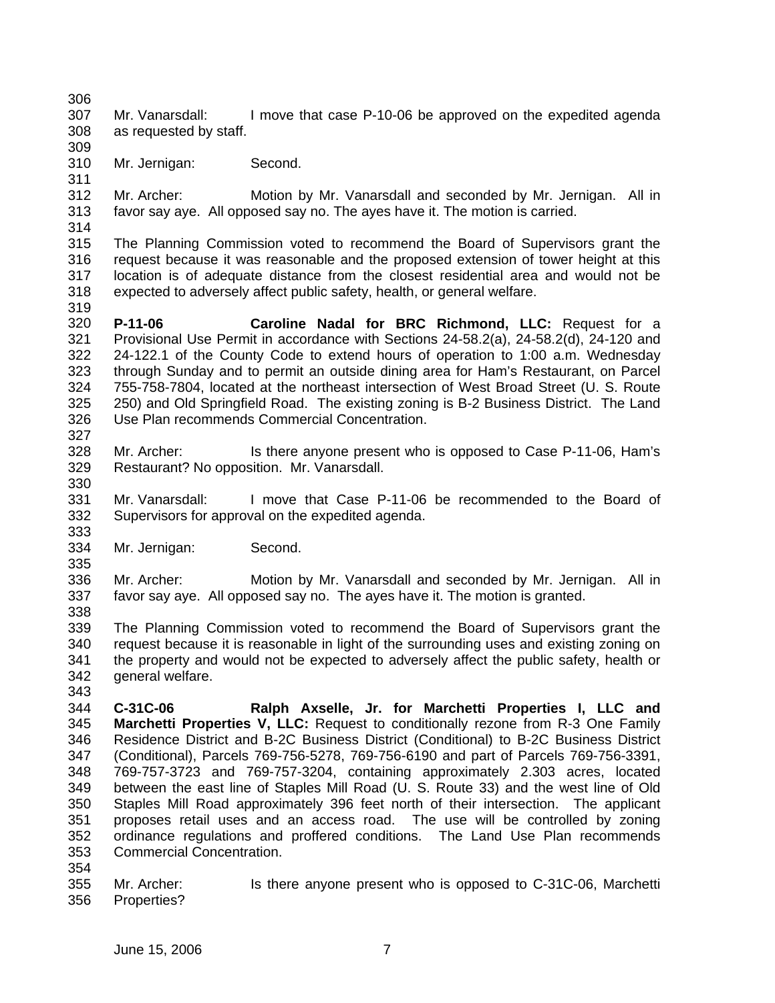306 307 308 Mr. Vanarsdall: I move that case P-10-06 be approved on the expedited agenda as requested by staff.

310 Mr. Jernigan: Second.

312 313 314 Mr. Archer: Motion by Mr. Vanarsdall and seconded by Mr. Jernigan. All in favor say aye. All opposed say no. The ayes have it. The motion is carried.

315 316 317 318 The Planning Commission voted to recommend the Board of Supervisors grant the request because it was reasonable and the proposed extension of tower height at this location is of adequate distance from the closest residential area and would not be expected to adversely affect public safety, health, or general welfare.

319

327

335

309

311

320 321 322 323 324 325 326 **P-11-06 Caroline Nadal for BRC Richmond, LLC:** Request for a Provisional Use Permit in accordance with Sections 24-58.2(a), 24-58.2(d), 24-120 and 24-122.1 of the County Code to extend hours of operation to 1:00 a.m. Wednesday through Sunday and to permit an outside dining area for Ham's Restaurant, on Parcel 755-758-7804, located at the northeast intersection of West Broad Street (U. S. Route 250) and Old Springfield Road. The existing zoning is B-2 Business District. The Land Use Plan recommends Commercial Concentration.

328 329 330 Mr. Archer: Is there anyone present who is opposed to Case P-11-06, Ham's Restaurant? No opposition. Mr. Vanarsdall.

331 332 333 Mr. Vanarsdall: I move that Case P-11-06 be recommended to the Board of Supervisors for approval on the expedited agenda.

334 Mr. Jernigan: Second.

336 337 Mr. Archer: Motion by Mr. Vanarsdall and seconded by Mr. Jernigan. All in favor say aye. All opposed say no. The ayes have it. The motion is granted.

338 339 340 341 342 The Planning Commission voted to recommend the Board of Supervisors grant the request because it is reasonable in light of the surrounding uses and existing zoning on the property and would not be expected to adversely affect the public safety, health or general welfare.

343

344 345 346 347 348 349 350 351 352 353 **C-31C-06 Ralph Axselle, Jr. for Marchetti Properties I, LLC and Marchetti Properties V, LLC:** Request to conditionally rezone from R-3 One Family Residence District and B-2C Business District (Conditional) to B-2C Business District (Conditional), Parcels 769-756-5278, 769-756-6190 and part of Parcels 769-756-3391, 769-757-3723 and 769-757-3204, containing approximately 2.303 acres, located between the east line of Staples Mill Road (U. S. Route 33) and the west line of Old Staples Mill Road approximately 396 feet north of their intersection. The applicant proposes retail uses and an access road. The use will be controlled by zoning ordinance regulations and proffered conditions. The Land Use Plan recommends Commercial Concentration.

354

355 356 Mr. Archer: Is there anyone present who is opposed to C-31C-06, Marchetti Properties?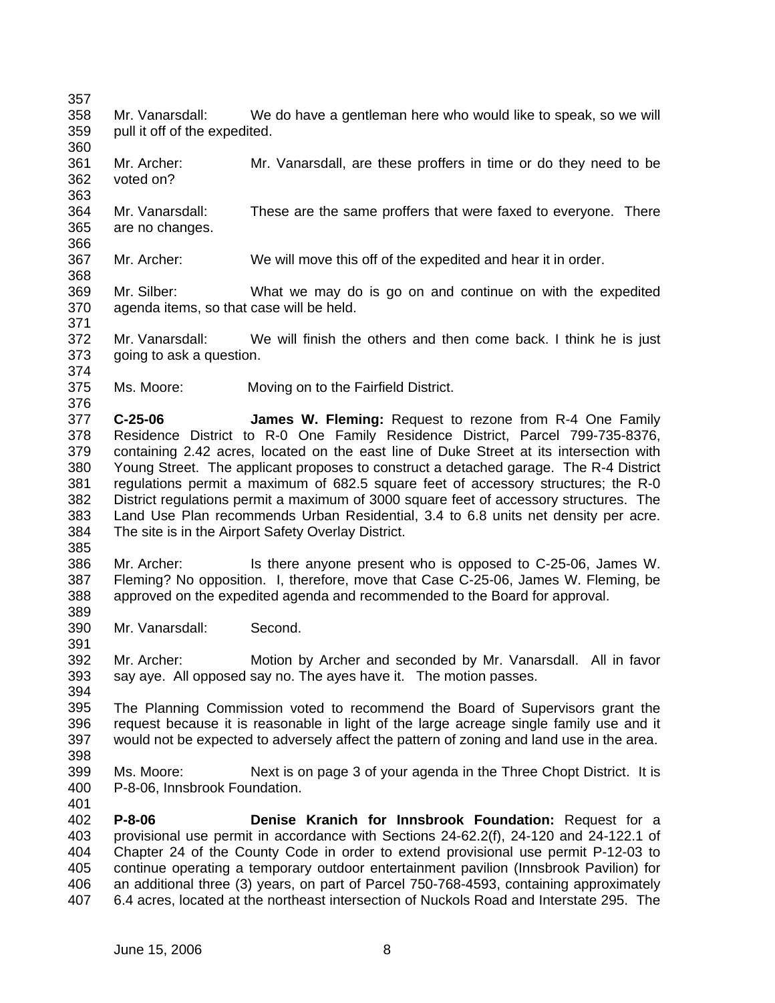368

376

- 358 359 360 Mr. Vanarsdall: We do have a gentleman here who would like to speak, so we will pull it off of the expedited.
- 361 362 363 Mr. Archer: Mr. Vanarsdall, are these proffers in time or do they need to be voted on?
- 364 365 366 Mr. Vanarsdall: These are the same proffers that were faxed to everyone. There are no changes.
- 367 Mr. Archer: We will move this off of the expedited and hear it in order.
- 369 370 371 Mr. Silber: What we may do is go on and continue on with the expedited agenda items, so that case will be held.
- 372 373 374 Mr. Vanarsdall: We will finish the others and then come back. I think he is just going to ask a question.
- 375 Ms. Moore: Moving on to the Fairfield District.
- 377 378 379 380 381 382 383 384 **C-25-06 James W. Fleming:** Request to rezone from R-4 One Family Residence District to R-0 One Family Residence District, Parcel 799-735-8376, containing 2.42 acres, located on the east line of Duke Street at its intersection with Young Street. The applicant proposes to construct a detached garage. The R-4 District regulations permit a maximum of 682.5 square feet of accessory structures; the R-0 District regulations permit a maximum of 3000 square feet of accessory structures. The Land Use Plan recommends Urban Residential, 3.4 to 6.8 units net density per acre. The site is in the Airport Safety Overlay District.
- 385

391

- 386 387 388 389 Mr. Archer: Is there anyone present who is opposed to C-25-06, James W. Fleming? No opposition. I, therefore, move that Case C-25-06, James W. Fleming, be approved on the expedited agenda and recommended to the Board for approval.
- 390 Mr. Vanarsdall: Second.

392 393 Mr. Archer: Motion by Archer and seconded by Mr. Vanarsdall. All in favor say aye. All opposed say no. The ayes have it. The motion passes.

394 395 396 397 The Planning Commission voted to recommend the Board of Supervisors grant the request because it is reasonable in light of the large acreage single family use and it would not be expected to adversely affect the pattern of zoning and land use in the area.

- 398
- 399 400 Ms. Moore: Next is on page 3 of your agenda in the Three Chopt District. It is P-8-06, Innsbrook Foundation.
- 401 402 403 404 405 406 407 **P-8-06 Denise Kranich for Innsbrook Foundation:** Request for a provisional use permit in accordance with Sections 24-62.2(f), 24-120 and 24-122.1 of Chapter 24 of the County Code in order to extend provisional use permit P-12-03 to continue operating a temporary outdoor entertainment pavilion (Innsbrook Pavilion) for an additional three (3) years, on part of Parcel 750-768-4593, containing approximately 6.4 acres, located at the northeast intersection of Nuckols Road and Interstate 295. The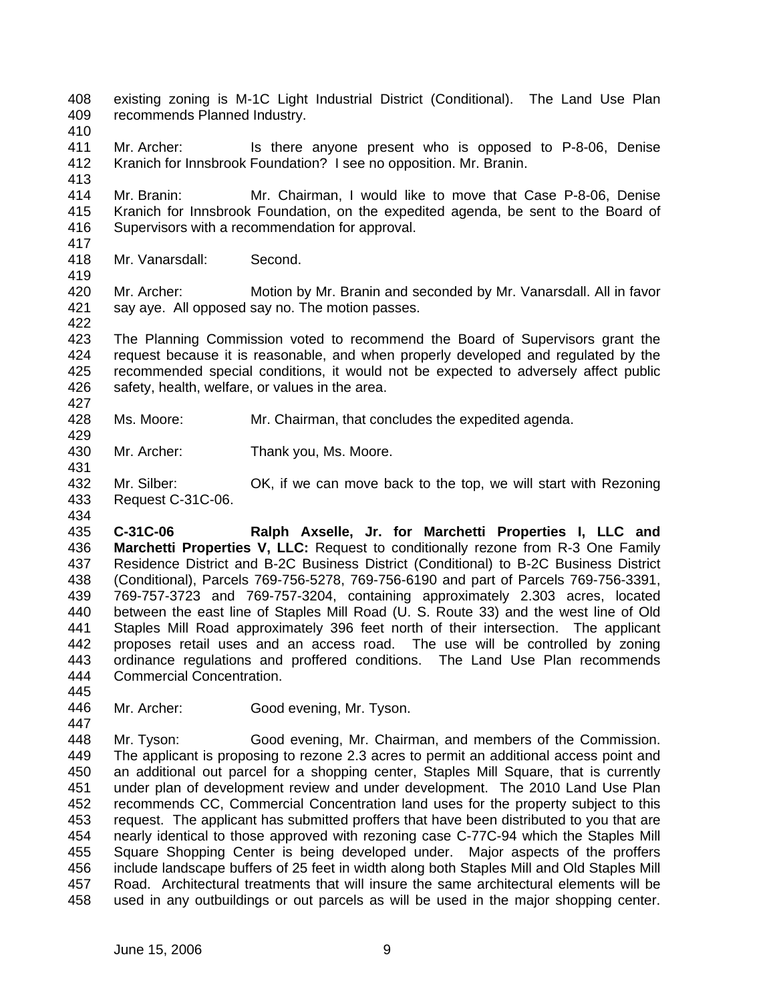- 408 409 existing zoning is M-1C Light Industrial District (Conditional). The Land Use Plan recommends Planned Industry.
- 410
- 411 412 413 Mr. Archer: Is there anyone present who is opposed to P-8-06, Denise Kranich for Innsbrook Foundation? I see no opposition. Mr. Branin.
- 414 415 416 417 Mr. Branin: Mr. Chairman, I would like to move that Case P-8-06, Denise Kranich for Innsbrook Foundation, on the expedited agenda, be sent to the Board of Supervisors with a recommendation for approval.
- 418 Mr. Vanarsdall: Second.
- 419

429

431

434

- 
- 420 421 422 Mr. Archer: Motion by Mr. Branin and seconded by Mr. Vanarsdall. All in favor say aye. All opposed say no. The motion passes.
- 423 424 425 426 The Planning Commission voted to recommend the Board of Supervisors grant the request because it is reasonable, and when properly developed and regulated by the recommended special conditions, it would not be expected to adversely affect public safety, health, welfare, or values in the area.
- 428 Ms. Moore: Mr. Chairman, that concludes the expedited agenda.
- 430 Mr. Archer: Thank you, Ms. Moore.
- 432 433 Mr. Silber: OK, if we can move back to the top, we will start with Rezoning Request C-31C-06.
- 435 436 437 438 439 440 441 442 443 444 **C-31C-06 Ralph Axselle, Jr. for Marchetti Properties I, LLC and Marchetti Properties V, LLC:** Request to conditionally rezone from R-3 One Family Residence District and B-2C Business District (Conditional) to B-2C Business District (Conditional), Parcels 769-756-5278, 769-756-6190 and part of Parcels 769-756-3391, 769-757-3723 and 769-757-3204, containing approximately 2.303 acres, located between the east line of Staples Mill Road (U. S. Route 33) and the west line of Old Staples Mill Road approximately 396 feet north of their intersection. The applicant proposes retail uses and an access road. The use will be controlled by zoning ordinance regulations and proffered conditions. The Land Use Plan recommends Commercial Concentration.
- 446 447 Mr. Archer: Good evening, Mr. Tyson.
- 448 449 450 451 452 453 454 455 456 457 458 Mr. Tyson: Good evening, Mr. Chairman, and members of the Commission. The applicant is proposing to rezone 2.3 acres to permit an additional access point and an additional out parcel for a shopping center, Staples Mill Square, that is currently under plan of development review and under development. The 2010 Land Use Plan recommends CC, Commercial Concentration land uses for the property subject to this request. The applicant has submitted proffers that have been distributed to you that are nearly identical to those approved with rezoning case C-77C-94 which the Staples Mill Square Shopping Center is being developed under. Major aspects of the proffers include landscape buffers of 25 feet in width along both Staples Mill and Old Staples Mill Road. Architectural treatments that will insure the same architectural elements will be used in any outbuildings or out parcels as will be used in the major shopping center.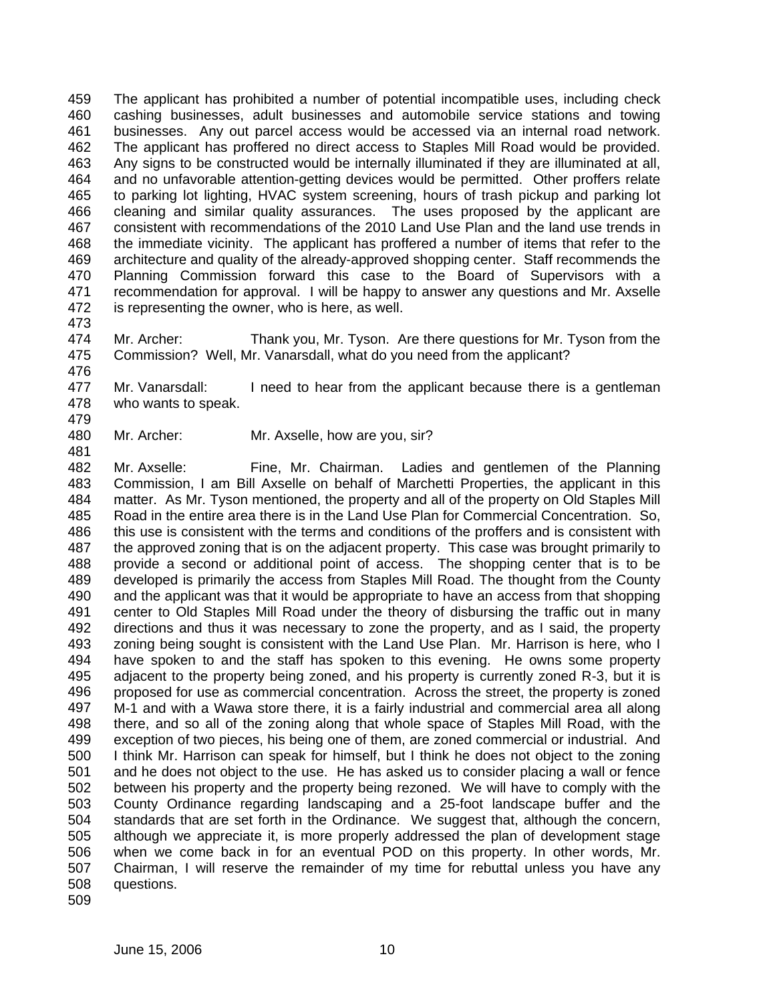459 460 461 462 463 464 465 466 467 468 469 470 471 472 The applicant has prohibited a number of potential incompatible uses, including check cashing businesses, adult businesses and automobile service stations and towing businesses. Any out parcel access would be accessed via an internal road network. The applicant has proffered no direct access to Staples Mill Road would be provided. Any signs to be constructed would be internally illuminated if they are illuminated at all, and no unfavorable attention-getting devices would be permitted. Other proffers relate to parking lot lighting, HVAC system screening, hours of trash pickup and parking lot cleaning and similar quality assurances. The uses proposed by the applicant are consistent with recommendations of the 2010 Land Use Plan and the land use trends in the immediate vicinity. The applicant has proffered a number of items that refer to the architecture and quality of the already-approved shopping center. Staff recommends the Planning Commission forward this case to the Board of Supervisors with a recommendation for approval. I will be happy to answer any questions and Mr. Axselle is representing the owner, who is here, as well.

473

476

474 475 Mr. Archer: Thank you, Mr. Tyson. Are there questions for Mr. Tyson from the Commission? Well, Mr. Vanarsdall, what do you need from the applicant?

477 478 Mr. Vanarsdall: I need to hear from the applicant because there is a gentleman who wants to speak.

479 480

481

Mr. Archer: Mr. Axselle, how are you, sir?

482 483 484 485 486 487 488 489 490 491 492 493 494 495 496 497 498 499 500 501 502 503 504 505 506 507 508 509 Mr. Axselle: Fine, Mr. Chairman. Ladies and gentlemen of the Planning Commission, I am Bill Axselle on behalf of Marchetti Properties, the applicant in this matter. As Mr. Tyson mentioned, the property and all of the property on Old Staples Mill Road in the entire area there is in the Land Use Plan for Commercial Concentration. So, this use is consistent with the terms and conditions of the proffers and is consistent with the approved zoning that is on the adjacent property. This case was brought primarily to provide a second or additional point of access. The shopping center that is to be developed is primarily the access from Staples Mill Road. The thought from the County and the applicant was that it would be appropriate to have an access from that shopping center to Old Staples Mill Road under the theory of disbursing the traffic out in many directions and thus it was necessary to zone the property, and as I said, the property zoning being sought is consistent with the Land Use Plan. Mr. Harrison is here, who I have spoken to and the staff has spoken to this evening. He owns some property adjacent to the property being zoned, and his property is currently zoned R-3, but it is proposed for use as commercial concentration. Across the street, the property is zoned M-1 and with a Wawa store there, it is a fairly industrial and commercial area all along there, and so all of the zoning along that whole space of Staples Mill Road, with the exception of two pieces, his being one of them, are zoned commercial or industrial. And I think Mr. Harrison can speak for himself, but I think he does not object to the zoning and he does not object to the use. He has asked us to consider placing a wall or fence between his property and the property being rezoned. We will have to comply with the County Ordinance regarding landscaping and a 25-foot landscape buffer and the standards that are set forth in the Ordinance. We suggest that, although the concern, although we appreciate it, is more properly addressed the plan of development stage when we come back in for an eventual POD on this property. In other words, Mr. Chairman, I will reserve the remainder of my time for rebuttal unless you have any questions.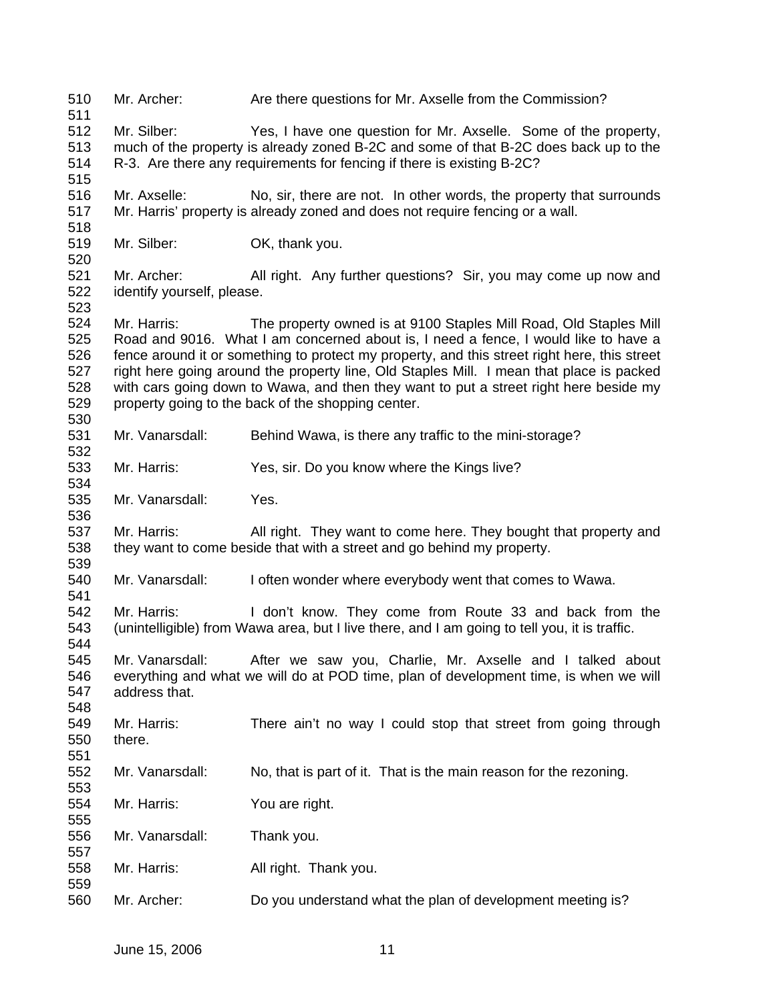- 510 511 Mr. Archer: Are there questions for Mr. Axselle from the Commission?
- 512 513 514 Mr. Silber: Yes, I have one question for Mr. Axselle. Some of the property, much of the property is already zoned B-2C and some of that B-2C does back up to the R-3. Are there any requirements for fencing if there is existing B-2C?
- 516 517 Mr. Axselle: No, sir, there are not. In other words, the property that surrounds Mr. Harris' property is already zoned and does not require fencing or a wall.
- 519 Mr. Silber: **OK, thank you.**

518

520

530

532

534

536

539

541

551

553

555

557

559

521 522 523 Mr. Archer: All right. Any further questions? Sir, you may come up now and identify yourself, please.

524 525 526 527 528 529 Mr. Harris: The property owned is at 9100 Staples Mill Road, Old Staples Mill Road and 9016. What I am concerned about is, I need a fence, I would like to have a fence around it or something to protect my property, and this street right here, this street right here going around the property line, Old Staples Mill. I mean that place is packed with cars going down to Wawa, and then they want to put a street right here beside my property going to the back of the shopping center.

- 531 Mr. Vanarsdall: Behind Wawa, is there any traffic to the mini-storage?
- 533 Mr. Harris: Yes, sir. Do you know where the Kings live?
- 535 Mr. Vanarsdall: Yes.

537 538 Mr. Harris: All right. They want to come here. They bought that property and they want to come beside that with a street and go behind my property.

540 Mr. Vanarsdall: I often wonder where everybody went that comes to Wawa.

542 543 544 Mr. Harris: I don't know. They come from Route 33 and back from the (unintelligible) from Wawa area, but I live there, and I am going to tell you, it is traffic.

545 546 547 548 Mr. Vanarsdall: After we saw you, Charlie, Mr. Axselle and I talked about everything and what we will do at POD time, plan of development time, is when we will address that.

549 550 Mr. Harris: There ain't no way I could stop that street from going through there.

- 552 Mr. Vanarsdall: No, that is part of it. That is the main reason for the rezoning.
- 554 Mr. Harris: You are right.
- 556 Mr. Vanarsdall: Thank you.
- 558 Mr. Harris: All right. Thank you.
- 560 Mr. Archer: Do you understand what the plan of development meeting is?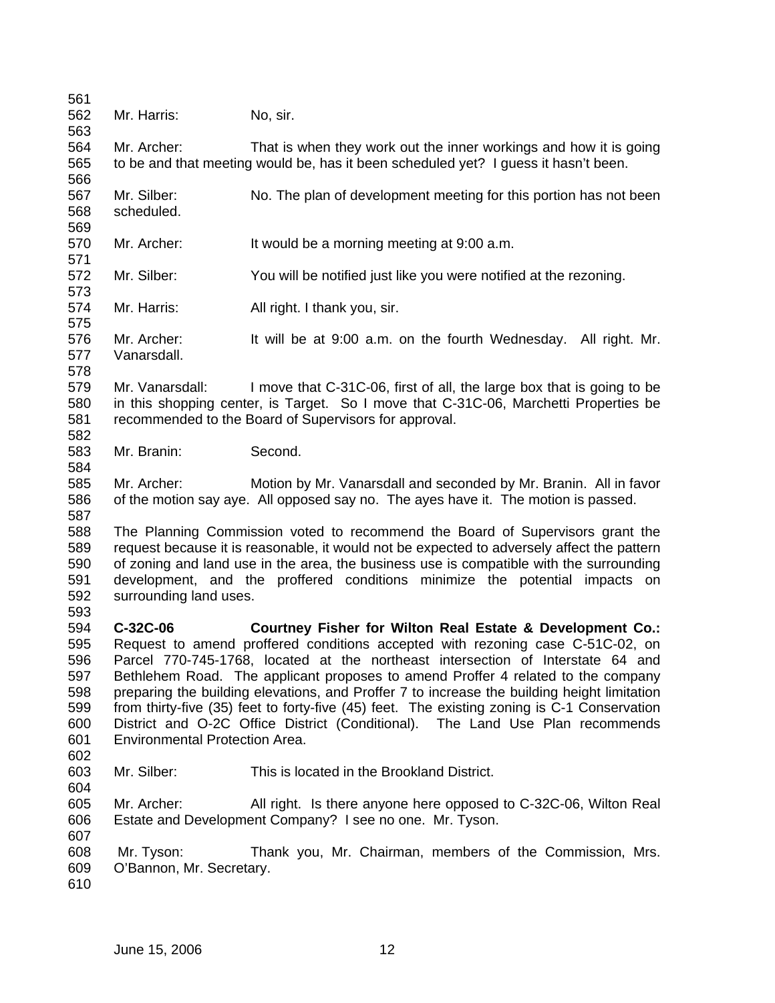561 562 563 564 565 566 567 568 569 570 571 572 573 574 575 576 577 578 579 580 581 582 583 584 585 586 587 588 589 590 591 592 593 594 595 596 597 598 599 600 601 602 603 604 605 606 607 608 609 610 Mr. Harris: No, sir. Mr. Archer: That is when they work out the inner workings and how it is going to be and that meeting would be, has it been scheduled yet? I guess it hasn't been. Mr. Silber: No. The plan of development meeting for this portion has not been scheduled. Mr. Archer: It would be a morning meeting at 9:00 a.m. Mr. Silber: You will be notified just like you were notified at the rezoning. Mr. Harris: All right. I thank you, sir. Mr. Archer: It will be at 9:00 a.m. on the fourth Wednesday. All right. Mr. Vanarsdall. Mr. Vanarsdall: I move that C-31C-06, first of all, the large box that is going to be in this shopping center, is Target. So I move that C-31C-06, Marchetti Properties be recommended to the Board of Supervisors for approval. Mr. Branin: Second. Mr. Archer: Motion by Mr. Vanarsdall and seconded by Mr. Branin. All in favor of the motion say aye. All opposed say no. The ayes have it. The motion is passed. The Planning Commission voted to recommend the Board of Supervisors grant the request because it is reasonable, it would not be expected to adversely affect the pattern of zoning and land use in the area, the business use is compatible with the surrounding development, and the proffered conditions minimize the potential impacts on surrounding land uses. **C-32C-06 Courtney Fisher for Wilton Real Estate & Development Co.:**  Request to amend proffered conditions accepted with rezoning case C-51C-02, on Parcel 770-745-1768, located at the northeast intersection of Interstate 64 and Bethlehem Road. The applicant proposes to amend Proffer 4 related to the company preparing the building elevations, and Proffer 7 to increase the building height limitation from thirty-five (35) feet to forty-five (45) feet. The existing zoning is C-1 Conservation District and O-2C Office District (Conditional). The Land Use Plan recommends Environmental Protection Area. Mr. Silber: This is located in the Brookland District. Mr. Archer: All right. Is there anyone here opposed to C-32C-06, Wilton Real Estate and Development Company? I see no one. Mr. Tyson. Mr. Tyson: Thank you, Mr. Chairman, members of the Commission, Mrs. O'Bannon, Mr. Secretary.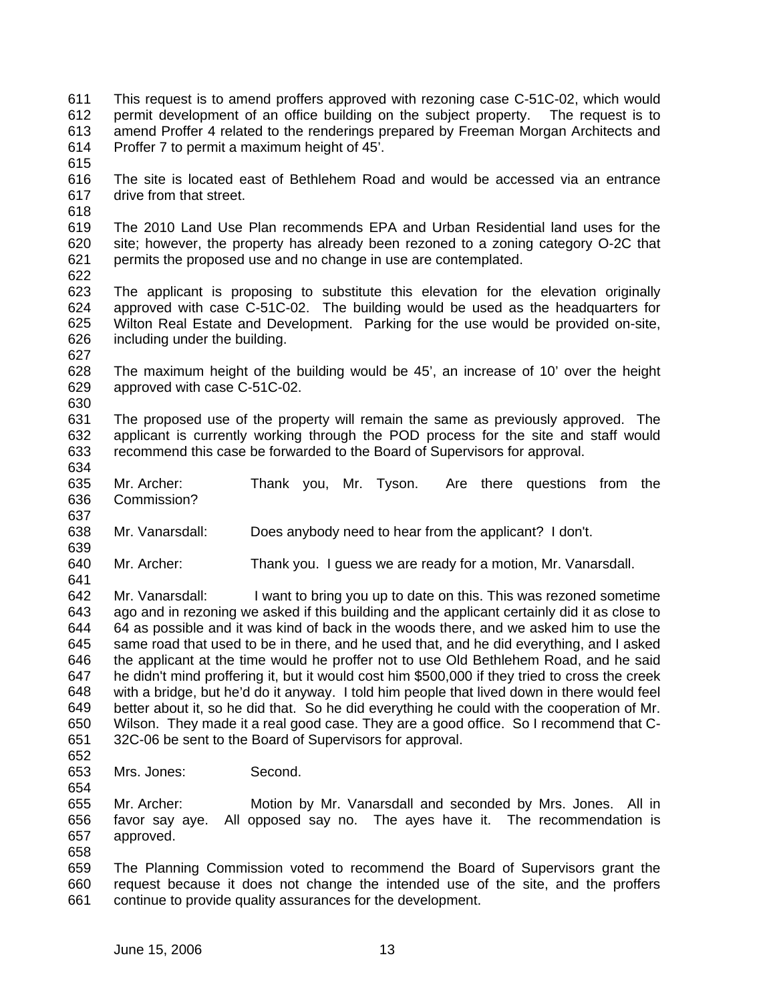- 611 612 613 614 This request is to amend proffers approved with rezoning case C-51C-02, which would permit development of an office building on the subject property. The request is to amend Proffer 4 related to the renderings prepared by Freeman Morgan Architects and Proffer 7 to permit a maximum height of 45'.
- 615
- 616 617 The site is located east of Bethlehem Road and would be accessed via an entrance drive from that street.
- 618
- 619 620 621 The 2010 Land Use Plan recommends EPA and Urban Residential land uses for the site; however, the property has already been rezoned to a zoning category O-2C that permits the proposed use and no change in use are contemplated.
- 622
- 623 624 625 626 The applicant is proposing to substitute this elevation for the elevation originally approved with case C-51C-02. The building would be used as the headquarters for Wilton Real Estate and Development. Parking for the use would be provided on-site, including under the building.
- 627

639

- 628 629 630 The maximum height of the building would be 45', an increase of 10' over the height approved with case C-51C-02.
- 631 632 633 634 The proposed use of the property will remain the same as previously approved. The applicant is currently working through the POD process for the site and staff would recommend this case be forwarded to the Board of Supervisors for approval.
- 635 636 Mr. Archer: Thank you, Mr. Tyson. Are there questions from the Commission?
- 638 Mr. Vanarsdall: Does anybody need to hear from the applicant? I don't.
- 640 641 Mr. Archer: Thank you. I guess we are ready for a motion, Mr. Vanarsdall.
- 642 643 644 645 646 647 648 649 650 651 Mr. Vanarsdall: I want to bring you up to date on this. This was rezoned sometime ago and in rezoning we asked if this building and the applicant certainly did it as close to 64 as possible and it was kind of back in the woods there, and we asked him to use the same road that used to be in there, and he used that, and he did everything, and I asked the applicant at the time would he proffer not to use Old Bethlehem Road, and he said he didn't mind proffering it, but it would cost him \$500,000 if they tried to cross the creek with a bridge, but he'd do it anyway. I told him people that lived down in there would feel better about it, so he did that. So he did everything he could with the cooperation of Mr. Wilson. They made it a real good case. They are a good office. So I recommend that C-32C-06 be sent to the Board of Supervisors for approval.
- 652 653

- Mrs. Jones: Second.
- 655 656 657 Mr. Archer: Motion by Mr. Vanarsdall and seconded by Mrs. Jones. All in favor say aye. All opposed say no. The ayes have it. The recommendation is approved.
- 658
- 659 660 661 The Planning Commission voted to recommend the Board of Supervisors grant the request because it does not change the intended use of the site, and the proffers continue to provide quality assurances for the development.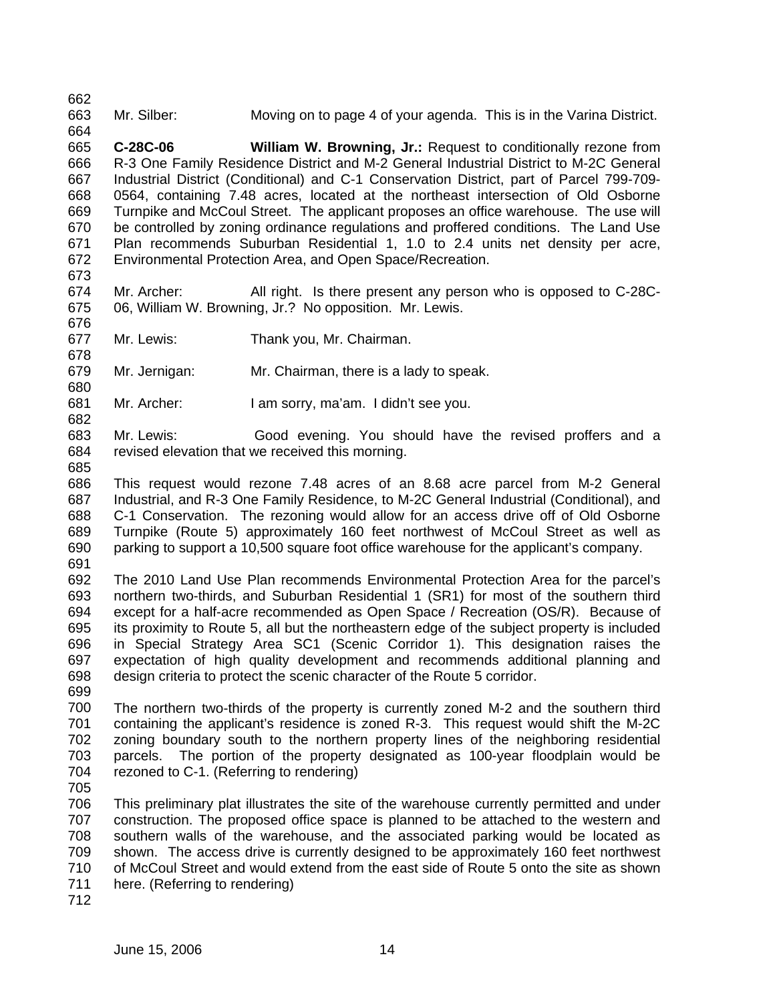662 663 Mr. Silber: Moving on to page 4 of your agenda. This is in the Varina District.

664 665 666 667 668 669 670 671 672 **C-28C-06 William W. Browning, Jr.:** Request to conditionally rezone from R-3 One Family Residence District and M-2 General Industrial District to M-2C General Industrial District (Conditional) and C-1 Conservation District, part of Parcel 799-709- 0564, containing 7.48 acres, located at the northeast intersection of Old Osborne Turnpike and McCoul Street. The applicant proposes an office warehouse. The use will be controlled by zoning ordinance regulations and proffered conditions. The Land Use Plan recommends Suburban Residential 1, 1.0 to 2.4 units net density per acre, Environmental Protection Area, and Open Space/Recreation.

673

678

680

682

674 675 676 Mr. Archer: All right. Is there present any person who is opposed to C-28C-06, William W. Browning, Jr.? No opposition. Mr. Lewis.

677 Mr. Lewis: Thank you, Mr. Chairman.

679 Mr. Jernigan: Mr. Chairman, there is a lady to speak.

681 Mr. Archer: I am sorry, ma'am. I didn't see you.

683 684 Mr. Lewis: Good evening. You should have the revised proffers and a revised elevation that we received this morning.

685 686 687 688 689 690 This request would rezone 7.48 acres of an 8.68 acre parcel from M-2 General Industrial, and R-3 One Family Residence, to M-2C General Industrial (Conditional), and C-1 Conservation. The rezoning would allow for an access drive off of Old Osborne Turnpike (Route 5) approximately 160 feet northwest of McCoul Street as well as parking to support a 10,500 square foot office warehouse for the applicant's company.

691

692 693 694 695 696 697 698 The 2010 Land Use Plan recommends Environmental Protection Area for the parcel's northern two-thirds, and Suburban Residential 1 (SR1) for most of the southern third except for a half-acre recommended as Open Space / Recreation (OS/R). Because of its proximity to Route 5, all but the northeastern edge of the subject property is included in Special Strategy Area SC1 (Scenic Corridor 1). This designation raises the expectation of high quality development and recommends additional planning and design criteria to protect the scenic character of the Route 5 corridor.

700 701 702 703 704 The northern two-thirds of the property is currently zoned M-2 and the southern third containing the applicant's residence is zoned R-3. This request would shift the M-2C zoning boundary south to the northern property lines of the neighboring residential parcels. The portion of the property designated as 100-year floodplain would be rezoned to C-1. (Referring to rendering)

705

699

706 707 708 709 710 711 This preliminary plat illustrates the site of the warehouse currently permitted and under construction. The proposed office space is planned to be attached to the western and southern walls of the warehouse, and the associated parking would be located as shown. The access drive is currently designed to be approximately 160 feet northwest of McCoul Street and would extend from the east side of Route 5 onto the site as shown here. (Referring to rendering)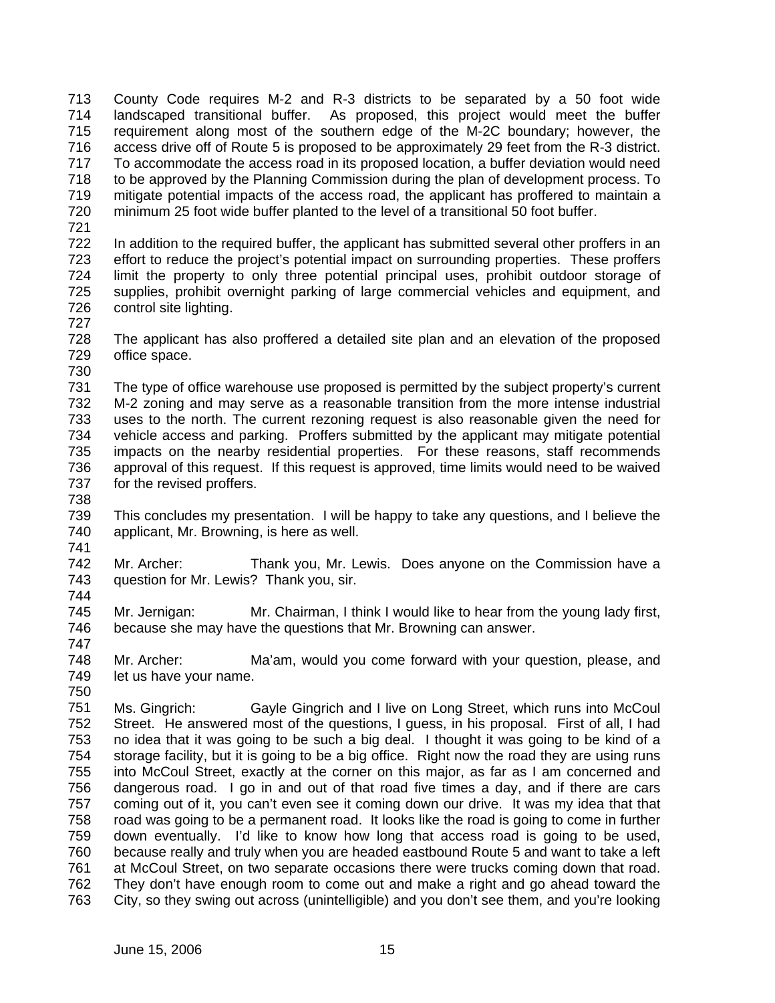713 714 715 716 717 718 719 720 County Code requires M-2 and R-3 districts to be separated by a 50 foot wide landscaped transitional buffer. As proposed, this project would meet the buffer requirement along most of the southern edge of the M-2C boundary; however, the access drive off of Route 5 is proposed to be approximately 29 feet from the R-3 district. To accommodate the access road in its proposed location, a buffer deviation would need to be approved by the Planning Commission during the plan of development process. To mitigate potential impacts of the access road, the applicant has proffered to maintain a minimum 25 foot wide buffer planted to the level of a transitional 50 foot buffer.

721

722 723 724 725 726 In addition to the required buffer, the applicant has submitted several other proffers in an effort to reduce the project's potential impact on surrounding properties. These proffers limit the property to only three potential principal uses, prohibit outdoor storage of supplies, prohibit overnight parking of large commercial vehicles and equipment, and control site lighting.

727

728 729 730 The applicant has also proffered a detailed site plan and an elevation of the proposed office space.

731 732 733 734 735 736 737 The type of office warehouse use proposed is permitted by the subject property's current M-2 zoning and may serve as a reasonable transition from the more intense industrial uses to the north. The current rezoning request is also reasonable given the need for vehicle access and parking. Proffers submitted by the applicant may mitigate potential impacts on the nearby residential properties. For these reasons, staff recommends approval of this request. If this request is approved, time limits would need to be waived for the revised proffers.

738

744

747

739 740 741 This concludes my presentation. I will be happy to take any questions, and I believe the applicant, Mr. Browning, is here as well.

742 743 Mr. Archer: Thank you, Mr. Lewis. Does anyone on the Commission have a question for Mr. Lewis? Thank you, sir.

745 746 Mr. Jernigan: Mr. Chairman, I think I would like to hear from the young lady first, because she may have the questions that Mr. Browning can answer.

748 749 750 Mr. Archer: Ma'am, would you come forward with your question, please, and let us have your name.

751 752 753 754 755 756 757 758 759 760 761 762 763 Ms. Gingrich: Gayle Gingrich and I live on Long Street, which runs into McCoul Street. He answered most of the questions, I guess, in his proposal. First of all, I had no idea that it was going to be such a big deal. I thought it was going to be kind of a storage facility, but it is going to be a big office. Right now the road they are using runs into McCoul Street, exactly at the corner on this major, as far as I am concerned and dangerous road. I go in and out of that road five times a day, and if there are cars coming out of it, you can't even see it coming down our drive. It was my idea that that road was going to be a permanent road. It looks like the road is going to come in further down eventually. I'd like to know how long that access road is going to be used, because really and truly when you are headed eastbound Route 5 and want to take a left at McCoul Street, on two separate occasions there were trucks coming down that road. They don't have enough room to come out and make a right and go ahead toward the City, so they swing out across (unintelligible) and you don't see them, and you're looking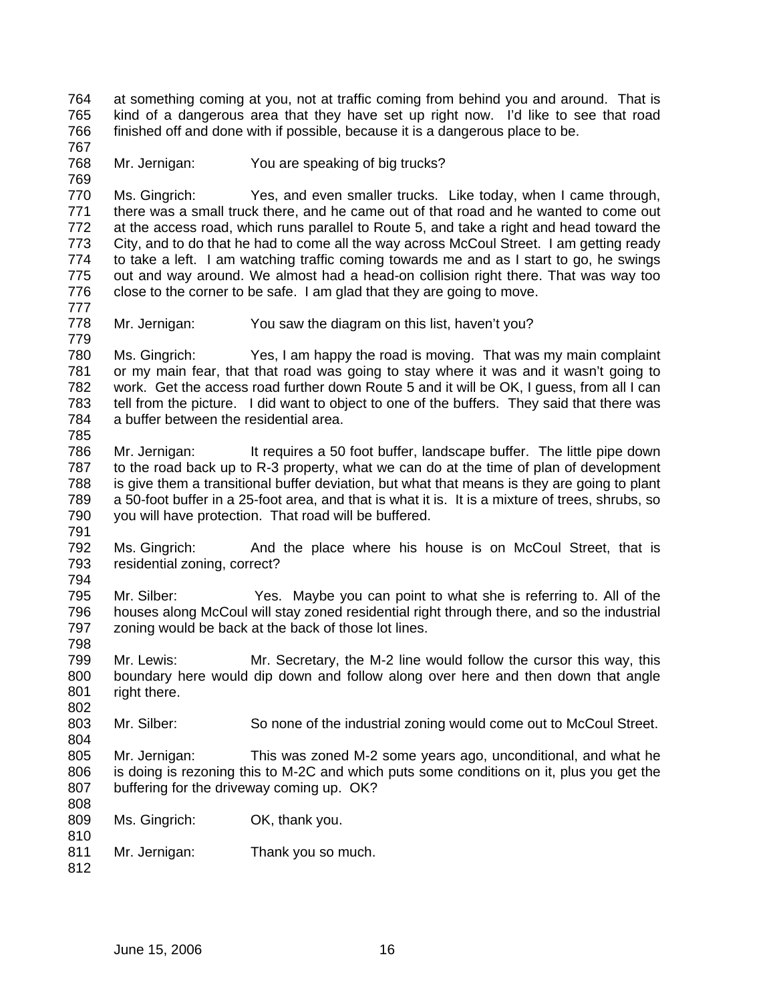764 765 766 at something coming at you, not at traffic coming from behind you and around. That is kind of a dangerous area that they have set up right now. I'd like to see that road finished off and done with if possible, because it is a dangerous place to be.

767 768

769

779

Mr. Jernigan: You are speaking of big trucks?

770 771 772 773 774 775 776 777 Ms. Gingrich: Yes, and even smaller trucks. Like today, when I came through, there was a small truck there, and he came out of that road and he wanted to come out at the access road, which runs parallel to Route 5, and take a right and head toward the City, and to do that he had to come all the way across McCoul Street. I am getting ready to take a left. I am watching traffic coming towards me and as I start to go, he swings out and way around. We almost had a head-on collision right there. That was way too close to the corner to be safe. I am glad that they are going to move.

778 Mr. Jernigan: You saw the diagram on this list, haven't you?

780 781 782 783 784 785 Ms. Gingrich: Yes, I am happy the road is moving. That was my main complaint or my main fear, that that road was going to stay where it was and it wasn't going to work. Get the access road further down Route 5 and it will be OK, I guess, from all I can tell from the picture. I did want to object to one of the buffers. They said that there was a buffer between the residential area.

- 786 787 788 789 790 Mr. Jernigan: It requires a 50 foot buffer, landscape buffer. The little pipe down to the road back up to R-3 property, what we can do at the time of plan of development is give them a transitional buffer deviation, but what that means is they are going to plant a 50-foot buffer in a 25-foot area, and that is what it is. It is a mixture of trees, shrubs, so you will have protection. That road will be buffered.
- 791

792 793 794 Ms. Gingrich: And the place where his house is on McCoul Street, that is residential zoning, correct?

- 795 796 797 798 Mr. Silber: Yes. Maybe you can point to what she is referring to. All of the houses along McCoul will stay zoned residential right through there, and so the industrial zoning would be back at the back of those lot lines.
- 799 800 801 802 Mr. Lewis: Mr. Secretary, the M-2 line would follow the cursor this way, this boundary here would dip down and follow along over here and then down that angle right there.

803 Mr. Silber: So none of the industrial zoning would come out to McCoul Street.

805 806 807 Mr. Jernigan: This was zoned M-2 some years ago, unconditional, and what he is doing is rezoning this to M-2C and which puts some conditions on it, plus you get the buffering for the driveway coming up. OK?

808

- 809 810 Ms. Gingrich: OK, thank you.
- 811 Mr. Jernigan: Thank you so much.
- 812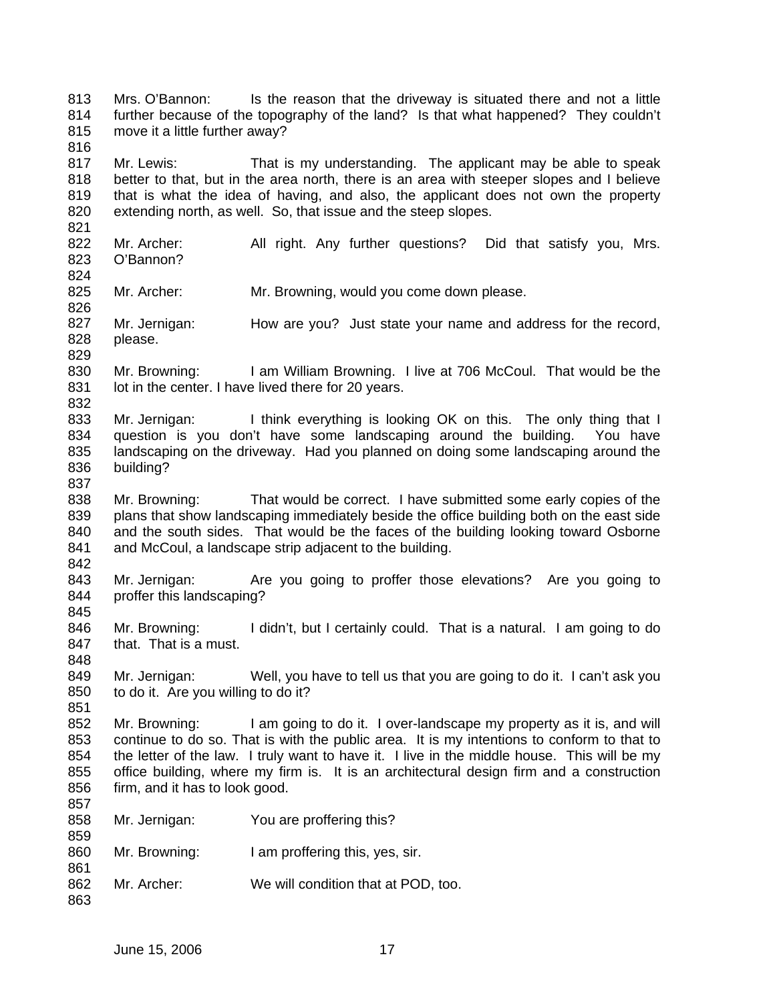813 814 815 816 817 818 819 820 821 822 823 824 825 826 827 828 829 830 831 832 833 834 835 836 837 838 839 840 841 842 843 844 845 846 847 848 849 850 851 852 853 854 855 856 857 858 859 860 861 862 863 Mrs. O'Bannon: Is the reason that the driveway is situated there and not a little further because of the topography of the land? Is that what happened? They couldn't move it a little further away? Mr. Lewis: That is my understanding. The applicant may be able to speak better to that, but in the area north, there is an area with steeper slopes and I believe that is what the idea of having, and also, the applicant does not own the property extending north, as well. So, that issue and the steep slopes. Mr. Archer: All right. Any further questions? Did that satisfy you, Mrs. O'Bannon? Mr. Archer: Mr. Browning, would you come down please. Mr. Jernigan: How are you? Just state your name and address for the record, please. Mr. Browning: I am William Browning. I live at 706 McCoul. That would be the lot in the center. I have lived there for 20 years. Mr. Jernigan: I think everything is looking OK on this. The only thing that I question is you don't have some landscaping around the building. You have landscaping on the driveway. Had you planned on doing some landscaping around the building? Mr. Browning: That would be correct. I have submitted some early copies of the plans that show landscaping immediately beside the office building both on the east side and the south sides. That would be the faces of the building looking toward Osborne and McCoul, a landscape strip adjacent to the building. Mr. Jernigan: Are you going to proffer those elevations? Are you going to proffer this landscaping? Mr. Browning: I didn't, but I certainly could. That is a natural. I am going to do that. That is a must. Mr. Jernigan: Well, you have to tell us that you are going to do it. I can't ask you to do it. Are you willing to do it? Mr. Browning: I am going to do it. I over-landscape my property as it is, and will continue to do so. That is with the public area. It is my intentions to conform to that to the letter of the law. I truly want to have it. I live in the middle house. This will be my office building, where my firm is. It is an architectural design firm and a construction firm, and it has to look good. Mr. Jernigan: You are proffering this? Mr. Browning: I am proffering this, yes, sir. Mr. Archer: We will condition that at POD, too.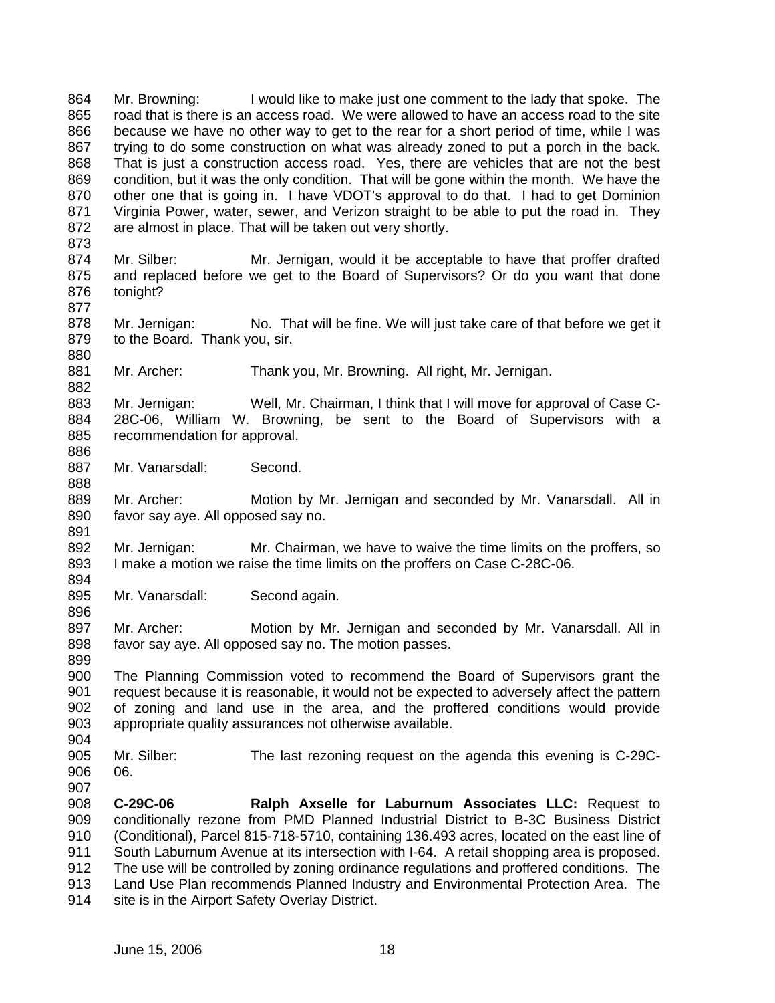864 865 866 867 868 869 870 871 872 873 874 875 876 877 878 879 880 881 882 883 884 885 886 887 888 889 890 891 892 893 894 895 896 897 898 899 900 901 902 903 904 905 906 907 908 909 910 911 912 913 914 Mr. Browning: I would like to make just one comment to the lady that spoke. The road that is there is an access road. We were allowed to have an access road to the site because we have no other way to get to the rear for a short period of time, while I was trying to do some construction on what was already zoned to put a porch in the back. That is just a construction access road. Yes, there are vehicles that are not the best condition, but it was the only condition. That will be gone within the month. We have the other one that is going in. I have VDOT's approval to do that. I had to get Dominion Virginia Power, water, sewer, and Verizon straight to be able to put the road in. They are almost in place. That will be taken out very shortly. Mr. Silber: Mr. Jernigan, would it be acceptable to have that proffer drafted and replaced before we get to the Board of Supervisors? Or do you want that done tonight? Mr. Jernigan: No. That will be fine. We will just take care of that before we get it to the Board. Thank you, sir. Mr. Archer: Thank you, Mr. Browning. All right, Mr. Jernigan. Mr. Jernigan: Well, Mr. Chairman, I think that I will move for approval of Case C-28C-06, William W. Browning, be sent to the Board of Supervisors with a recommendation for approval. Mr. Vanarsdall: Second. Mr. Archer: Motion by Mr. Jernigan and seconded by Mr. Vanarsdall. All in favor say aye. All opposed say no. Mr. Jernigan: Mr. Chairman, we have to waive the time limits on the proffers, so I make a motion we raise the time limits on the proffers on Case C-28C-06. Mr. Vanarsdall: Second again. Mr. Archer: Motion by Mr. Jernigan and seconded by Mr. Vanarsdall. All in favor say aye. All opposed say no. The motion passes. The Planning Commission voted to recommend the Board of Supervisors grant the request because it is reasonable, it would not be expected to adversely affect the pattern of zoning and land use in the area, and the proffered conditions would provide appropriate quality assurances not otherwise available. Mr. Silber: The last rezoning request on the agenda this evening is C-29C-06. **C-29C-06 Ralph Axselle for Laburnum Associates LLC:** Request to conditionally rezone from PMD Planned Industrial District to B-3C Business District (Conditional), Parcel 815-718-5710, containing 136.493 acres, located on the east line of South Laburnum Avenue at its intersection with I-64. A retail shopping area is proposed. The use will be controlled by zoning ordinance regulations and proffered conditions. The Land Use Plan recommends Planned Industry and Environmental Protection Area. The site is in the Airport Safety Overlay District.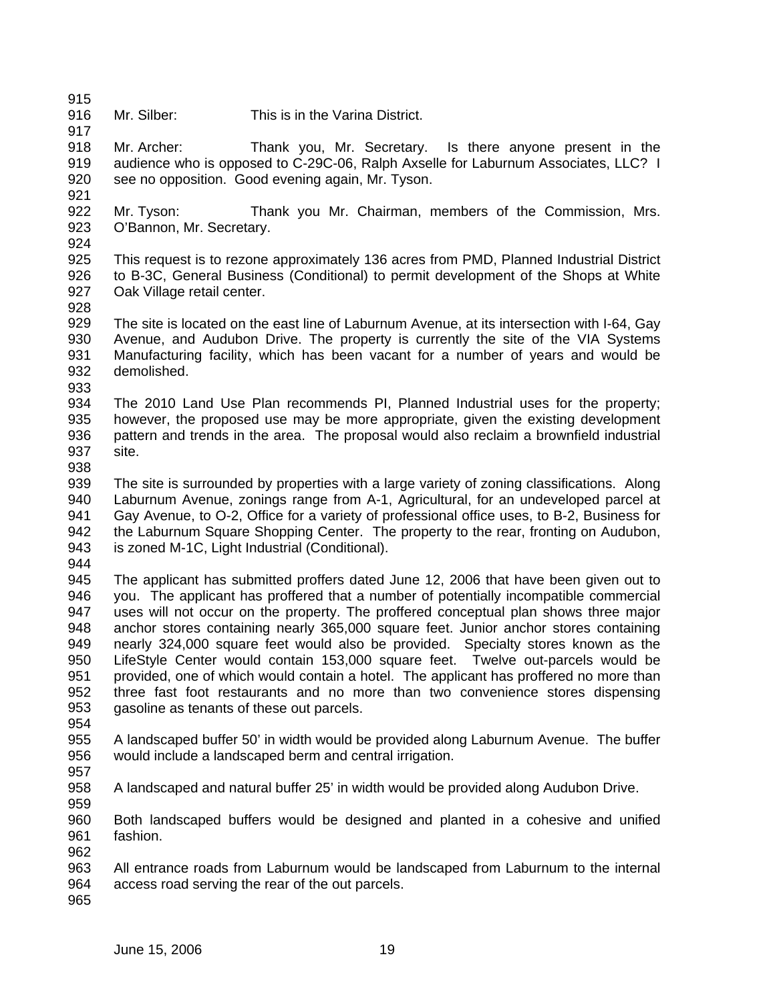917

916 Mr. Silber: This is in the Varina District.

918 919 920 Mr. Archer: Thank you, Mr. Secretary. Is there anyone present in the audience who is opposed to C-29C-06, Ralph Axselle for Laburnum Associates, LLC? I see no opposition. Good evening again, Mr. Tyson.

- 922 923 Mr. Tyson: Thank you Mr. Chairman, members of the Commission, Mrs. O'Bannon, Mr. Secretary.
- 924

- 925 926 927 This request is to rezone approximately 136 acres from PMD, Planned Industrial District to B-3C, General Business (Conditional) to permit development of the Shops at White Oak Village retail center.
- 928
- 929 930 931 932 933 The site is located on the east line of Laburnum Avenue, at its intersection with I-64, Gay Avenue, and Audubon Drive. The property is currently the site of the VIA Systems Manufacturing facility, which has been vacant for a number of years and would be demolished.
- 934 935 936 937 The 2010 Land Use Plan recommends PI, Planned Industrial uses for the property; however, the proposed use may be more appropriate, given the existing development pattern and trends in the area. The proposal would also reclaim a brownfield industrial site.
- 938
- 939 940 941 942 943 The site is surrounded by properties with a large variety of zoning classifications. Along Laburnum Avenue, zonings range from A-1, Agricultural, for an undeveloped parcel at Gay Avenue, to O-2, Office for a variety of professional office uses, to B-2, Business for the Laburnum Square Shopping Center. The property to the rear, fronting on Audubon, is zoned M-1C, Light Industrial (Conditional).
- 944
- 945 946 947 948 949 950 951 952 953 The applicant has submitted proffers dated June 12, 2006 that have been given out to you. The applicant has proffered that a number of potentially incompatible commercial uses will not occur on the property. The proffered conceptual plan shows three major anchor stores containing nearly 365,000 square feet. Junior anchor stores containing nearly 324,000 square feet would also be provided. Specialty stores known as the LifeStyle Center would contain 153,000 square feet. Twelve out-parcels would be provided, one of which would contain a hotel. The applicant has proffered no more than three fast foot restaurants and no more than two convenience stores dispensing gasoline as tenants of these out parcels.
- 954
- 955 956 A landscaped buffer 50' in width would be provided along Laburnum Avenue. The buffer would include a landscaped berm and central irrigation.
- 957
- 959
- 958 A landscaped and natural buffer 25' in width would be provided along Audubon Drive.
- 960 961 962 Both landscaped buffers would be designed and planted in a cohesive and unified fashion.
- 963 964 All entrance roads from Laburnum would be landscaped from Laburnum to the internal access road serving the rear of the out parcels.
- 965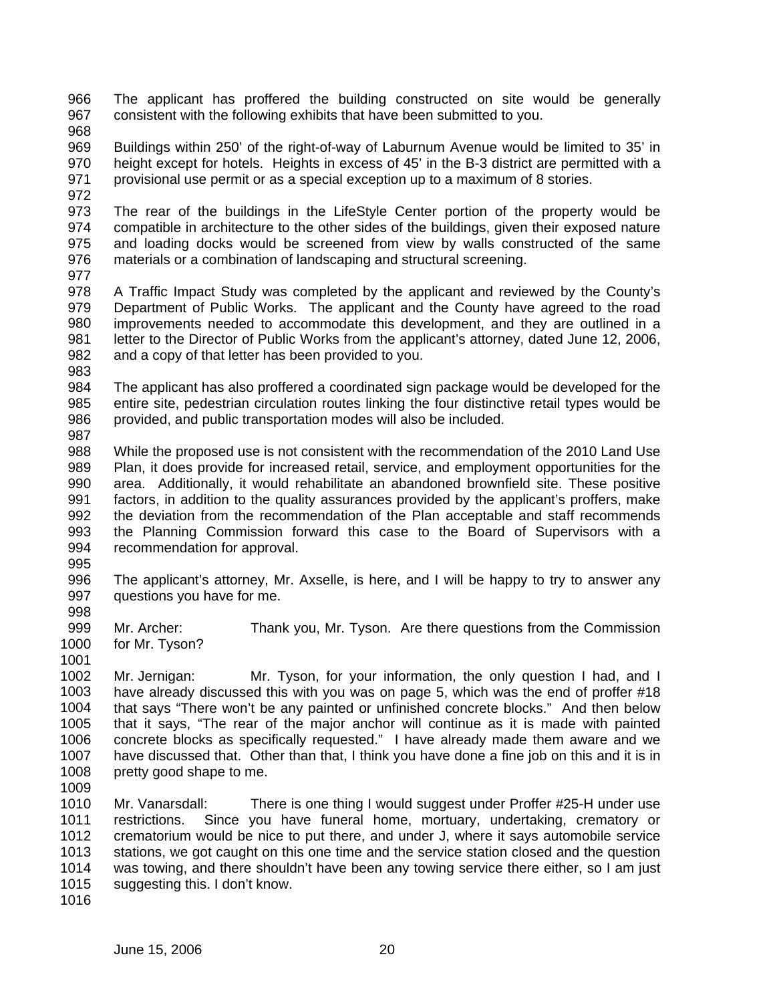966 967 The applicant has proffered the building constructed on site would be generally consistent with the following exhibits that have been submitted to you.

968

969 970 971 Buildings within 250' of the right-of-way of Laburnum Avenue would be limited to 35' in height except for hotels. Heights in excess of 45' in the B-3 district are permitted with a provisional use permit or as a special exception up to a maximum of 8 stories.

972

973 974 975 976 The rear of the buildings in the LifeStyle Center portion of the property would be compatible in architecture to the other sides of the buildings, given their exposed nature and loading docks would be screened from view by walls constructed of the same materials or a combination of landscaping and structural screening.

977

978 979 980 981 982 983 A Traffic Impact Study was completed by the applicant and reviewed by the County's Department of Public Works. The applicant and the County have agreed to the road improvements needed to accommodate this development, and they are outlined in a letter to the Director of Public Works from the applicant's attorney, dated June 12, 2006, and a copy of that letter has been provided to you.

984 985 986 987 The applicant has also proffered a coordinated sign package would be developed for the entire site, pedestrian circulation routes linking the four distinctive retail types would be provided, and public transportation modes will also be included.

988 989 990 991 992 993 994 While the proposed use is not consistent with the recommendation of the 2010 Land Use Plan, it does provide for increased retail, service, and employment opportunities for the area. Additionally, it would rehabilitate an abandoned brownfield site. These positive factors, in addition to the quality assurances provided by the applicant's proffers, make the deviation from the recommendation of the Plan acceptable and staff recommends the Planning Commission forward this case to the Board of Supervisors with a recommendation for approval.

995

996 997 The applicant's attorney, Mr. Axselle, is here, and I will be happy to try to answer any questions you have for me.

998

999 1000 Mr. Archer: Thank you, Mr. Tyson. Are there questions from the Commission for Mr. Tyson?

1001

1002 1003 1004 1005 1006 1007 1008 Mr. Jernigan: Mr. Tyson, for your information, the only question I had, and I have already discussed this with you was on page 5, which was the end of proffer #18 that says "There won't be any painted or unfinished concrete blocks." And then below that it says, "The rear of the major anchor will continue as it is made with painted concrete blocks as specifically requested." I have already made them aware and we have discussed that. Other than that, I think you have done a fine job on this and it is in pretty good shape to me.

1009

1010 1011 1012 1013 1014 1015 1016 Mr. Vanarsdall: There is one thing I would suggest under Proffer #25-H under use restrictions. Since you have funeral home, mortuary, undertaking, crematory or crematorium would be nice to put there, and under J, where it says automobile service stations, we got caught on this one time and the service station closed and the question was towing, and there shouldn't have been any towing service there either, so I am just suggesting this. I don't know.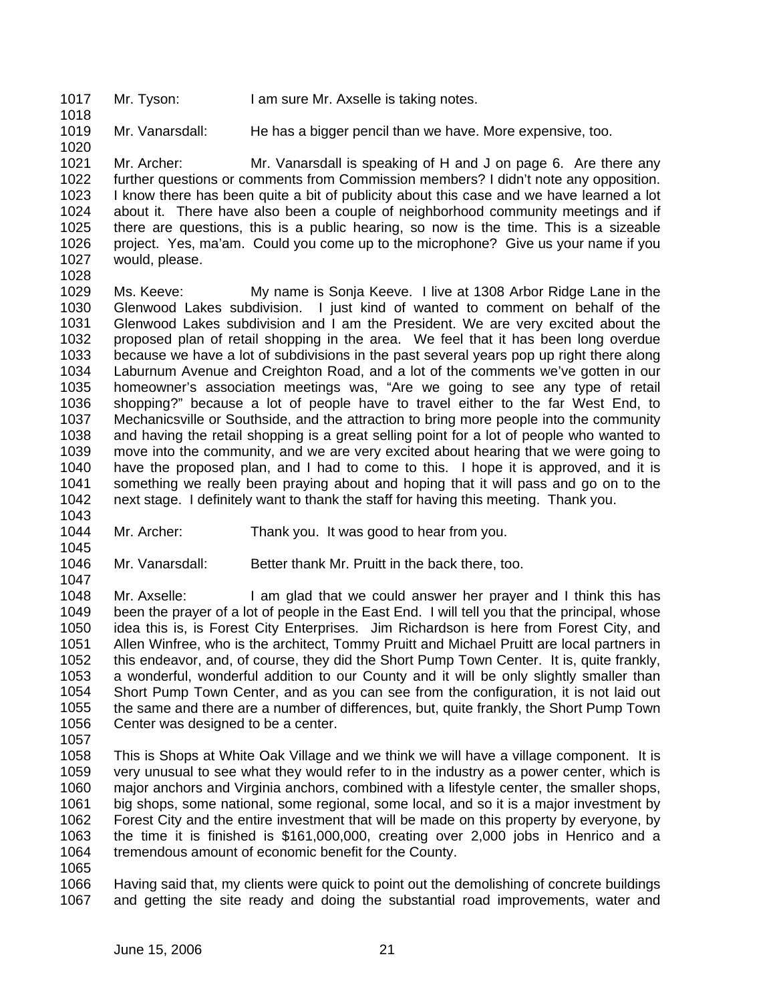1017 1018 Mr. Tyson: I am sure Mr. Axselle is taking notes.

1019 Mr. Vanarsdall: He has a bigger pencil than we have. More expensive, too.

1021 1022 1023 1024 1025 1026 1027 Mr. Archer: Mr. Vanarsdall is speaking of H and J on page 6. Are there any further questions or comments from Commission members? I didn't note any opposition. I know there has been quite a bit of publicity about this case and we have learned a lot about it. There have also been a couple of neighborhood community meetings and if there are questions, this is a public hearing, so now is the time. This is a sizeable project. Yes, ma'am. Could you come up to the microphone? Give us your name if you would, please.

1028

1020

1029 1030 1031 1032 1033 1034 1035 1036 1037 1038 1039 1040 1041 1042 Ms. Keeve: My name is Sonja Keeve. I live at 1308 Arbor Ridge Lane in the Glenwood Lakes subdivision. I just kind of wanted to comment on behalf of the Glenwood Lakes subdivision and I am the President. We are very excited about the proposed plan of retail shopping in the area. We feel that it has been long overdue because we have a lot of subdivisions in the past several years pop up right there along Laburnum Avenue and Creighton Road, and a lot of the comments we've gotten in our homeowner's association meetings was, "Are we going to see any type of retail shopping?" because a lot of people have to travel either to the far West End, to Mechanicsville or Southside, and the attraction to bring more people into the community and having the retail shopping is a great selling point for a lot of people who wanted to move into the community, and we are very excited about hearing that we were going to have the proposed plan, and I had to come to this. I hope it is approved, and it is something we really been praying about and hoping that it will pass and go on to the next stage. I definitely want to thank the staff for having this meeting. Thank you.

1043

1045

1044 Mr. Archer: Thank you. It was good to hear from you.

1046 1047 Mr. Vanarsdall: Better thank Mr. Pruitt in the back there, too.

1048 1049 1050 1051 1052 1053 1054 1055 1056 Mr. Axselle: I am glad that we could answer her prayer and I think this has been the prayer of a lot of people in the East End. I will tell you that the principal, whose idea this is, is Forest City Enterprises. Jim Richardson is here from Forest City, and Allen Winfree, who is the architect, Tommy Pruitt and Michael Pruitt are local partners in this endeavor, and, of course, they did the Short Pump Town Center. It is, quite frankly, a wonderful, wonderful addition to our County and it will be only slightly smaller than Short Pump Town Center, and as you can see from the configuration, it is not laid out the same and there are a number of differences, but, quite frankly, the Short Pump Town Center was designed to be a center.

1057

1058 1059 1060 1061 1062 1063 1064 This is Shops at White Oak Village and we think we will have a village component. It is very unusual to see what they would refer to in the industry as a power center, which is major anchors and Virginia anchors, combined with a lifestyle center, the smaller shops, big shops, some national, some regional, some local, and so it is a major investment by Forest City and the entire investment that will be made on this property by everyone, by the time it is finished is \$161,000,000, creating over 2,000 jobs in Henrico and a tremendous amount of economic benefit for the County.

1065

1066 1067 Having said that, my clients were quick to point out the demolishing of concrete buildings and getting the site ready and doing the substantial road improvements, water and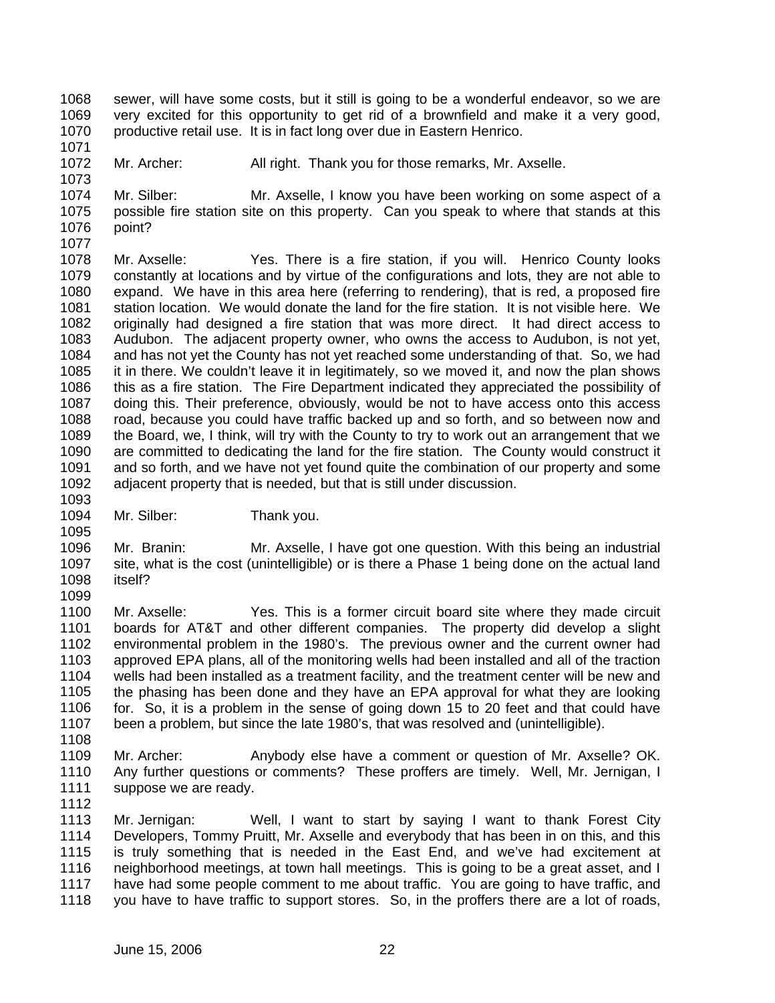- 1068 1069 1070 sewer, will have some costs, but it still is going to be a wonderful endeavor, so we are very excited for this opportunity to get rid of a brownfield and make it a very good, productive retail use. It is in fact long over due in Eastern Henrico.
- 1072 Mr. Archer: All right. Thank you for those remarks, Mr. Axselle.
- 1074 1075 1076 1077 Mr. Silber: Mr. Axselle, I know you have been working on some aspect of a possible fire station site on this property. Can you speak to where that stands at this point?
- 1078 1079 1080 1081 1082 1083 1084 1085 1086 1087 1088 1089 1090 1091 1092 Mr. Axselle: Yes. There is a fire station, if you will. Henrico County looks constantly at locations and by virtue of the configurations and lots, they are not able to expand. We have in this area here (referring to rendering), that is red, a proposed fire station location. We would donate the land for the fire station. It is not visible here. We originally had designed a fire station that was more direct. It had direct access to Audubon. The adjacent property owner, who owns the access to Audubon, is not yet, and has not yet the County has not yet reached some understanding of that. So, we had it in there. We couldn't leave it in legitimately, so we moved it, and now the plan shows this as a fire station. The Fire Department indicated they appreciated the possibility of doing this. Their preference, obviously, would be not to have access onto this access road, because you could have traffic backed up and so forth, and so between now and the Board, we, I think, will try with the County to try to work out an arrangement that we are committed to dedicating the land for the fire station. The County would construct it and so forth, and we have not yet found quite the combination of our property and some adjacent property that is needed, but that is still under discussion.
- 1094 Mr. Silber: Thank you.
- 1096 1097 1098 Mr. Branin: Mr. Axselle, I have got one question. With this being an industrial site, what is the cost (unintelligible) or is there a Phase 1 being done on the actual land itself?
- 1100 1101 1102 1103 1104 1105 1106 1107 Mr. Axselle: Yes. This is a former circuit board site where they made circuit boards for AT&T and other different companies. The property did develop a slight environmental problem in the 1980's. The previous owner and the current owner had approved EPA plans, all of the monitoring wells had been installed and all of the traction wells had been installed as a treatment facility, and the treatment center will be new and the phasing has been done and they have an EPA approval for what they are looking for. So, it is a problem in the sense of going down 15 to 20 feet and that could have been a problem, but since the late 1980's, that was resolved and (unintelligible).
- 1108

1095

1099

1071

- 1109 1110 1111 Mr. Archer: Anybody else have a comment or question of Mr. Axselle? OK. Any further questions or comments? These proffers are timely. Well, Mr. Jernigan, I suppose we are ready.
- 1112
- 1113 1114 1115 1116 1117 1118 Mr. Jernigan: Well, I want to start by saying I want to thank Forest City Developers, Tommy Pruitt, Mr. Axselle and everybody that has been in on this, and this is truly something that is needed in the East End, and we've had excitement at neighborhood meetings, at town hall meetings. This is going to be a great asset, and I have had some people comment to me about traffic. You are going to have traffic, and you have to have traffic to support stores. So, in the proffers there are a lot of roads,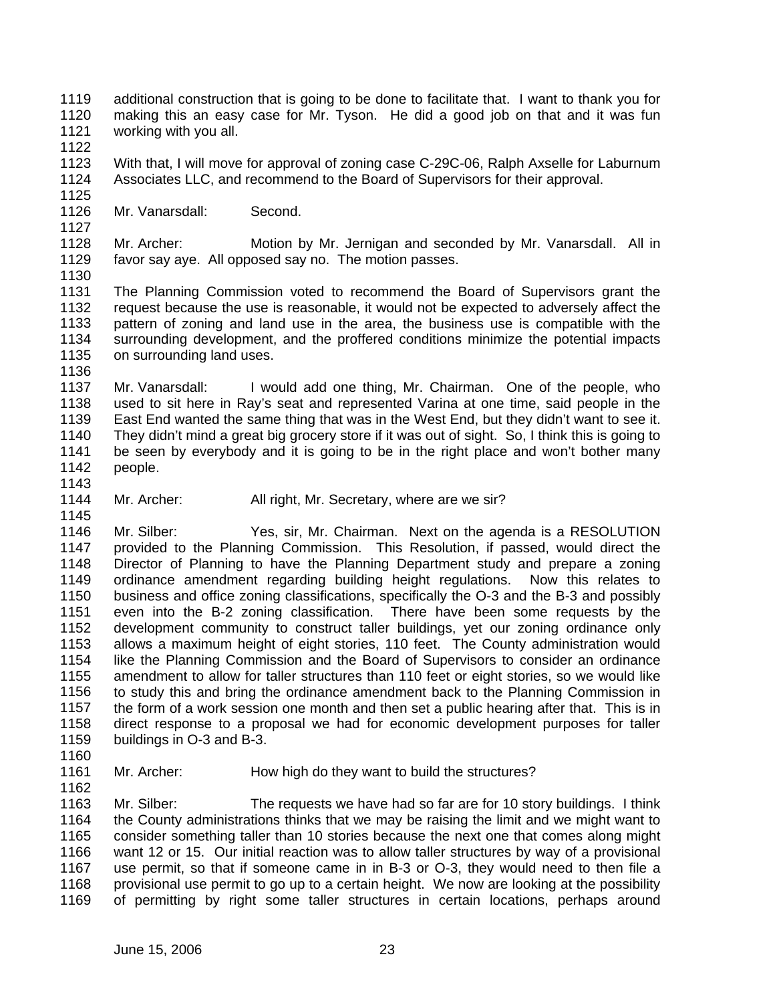1119 1120 1121 additional construction that is going to be done to facilitate that. I want to thank you for making this an easy case for Mr. Tyson. He did a good job on that and it was fun working with you all.

1122

1125

1127

1123 1124 With that, I will move for approval of zoning case C-29C-06, Ralph Axselle for Laburnum Associates LLC, and recommend to the Board of Supervisors for their approval.

1126 Mr. Vanarsdall: Second.

1128 1129 Mr. Archer: Motion by Mr. Jernigan and seconded by Mr. Vanarsdall. All in favor say aye. All opposed say no. The motion passes.

1130

1131 1132 1133 1134 1135 1136 The Planning Commission voted to recommend the Board of Supervisors grant the request because the use is reasonable, it would not be expected to adversely affect the pattern of zoning and land use in the area, the business use is compatible with the surrounding development, and the proffered conditions minimize the potential impacts on surrounding land uses.

1137 1138 1139 1140 1141 1142 1143 Mr. Vanarsdall: I would add one thing, Mr. Chairman. One of the people, who used to sit here in Ray's seat and represented Varina at one time, said people in the East End wanted the same thing that was in the West End, but they didn't want to see it. They didn't mind a great big grocery store if it was out of sight. So, I think this is going to be seen by everybody and it is going to be in the right place and won't bother many people.

1144 Mr. Archer: All right, Mr. Secretary, where are we sir?

1146 1147 1148 1149 1150 1151 1152 1153 1154 1155 1156 1157 1158 1159 Mr. Silber: Yes, sir, Mr. Chairman. Next on the agenda is a RESOLUTION provided to the Planning Commission. This Resolution, if passed, would direct the Director of Planning to have the Planning Department study and prepare a zoning ordinance amendment regarding building height regulations. Now this relates to business and office zoning classifications, specifically the O-3 and the B-3 and possibly even into the B-2 zoning classification. There have been some requests by the development community to construct taller buildings, yet our zoning ordinance only allows a maximum height of eight stories, 110 feet. The County administration would like the Planning Commission and the Board of Supervisors to consider an ordinance amendment to allow for taller structures than 110 feet or eight stories, so we would like to study this and bring the ordinance amendment back to the Planning Commission in the form of a work session one month and then set a public hearing after that. This is in direct response to a proposal we had for economic development purposes for taller buildings in O-3 and B-3.

1160

1162

1145

1161 Mr. Archer: How high do they want to build the structures?

1163 1164 1165 1166 1167 1168 1169 Mr. Silber: The requests we have had so far are for 10 story buildings. I think the County administrations thinks that we may be raising the limit and we might want to consider something taller than 10 stories because the next one that comes along might want 12 or 15. Our initial reaction was to allow taller structures by way of a provisional use permit, so that if someone came in in B-3 or O-3, they would need to then file a provisional use permit to go up to a certain height. We now are looking at the possibility of permitting by right some taller structures in certain locations, perhaps around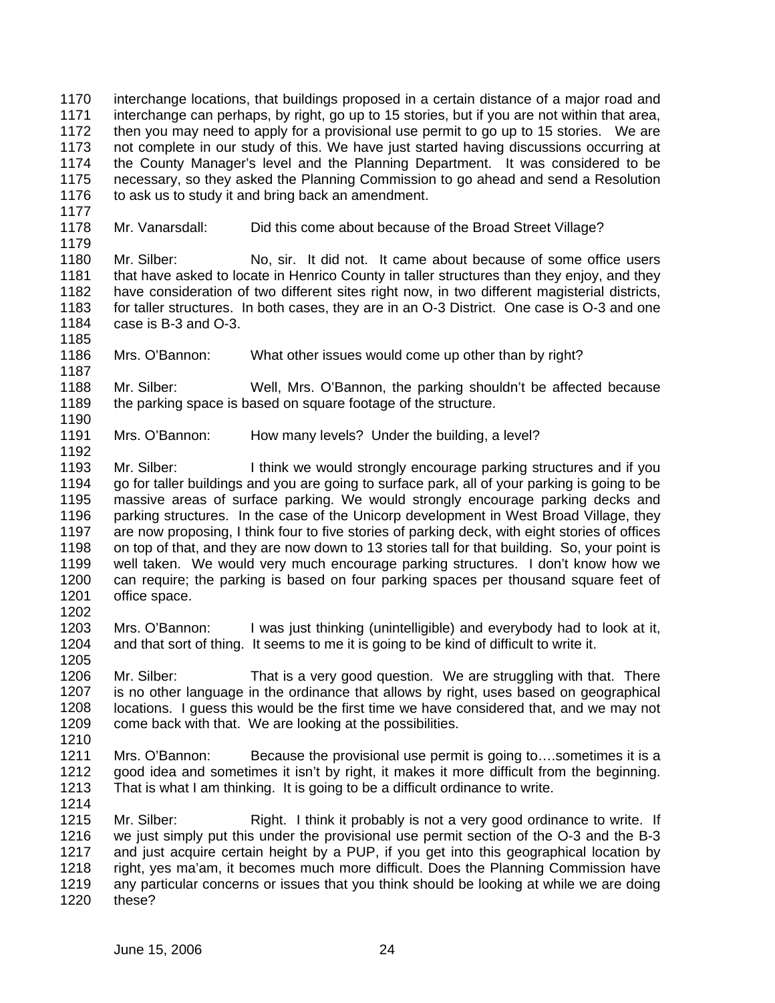1170 1171 1172 1173 1174 1175 1176 1177 1178 1179 1180 1181 1182 1183 1184 1185 1186 1187 1188 1189 1190 1191 1192 1193 1194 1195 1196 1197 1198 1199 1200 1201 1202 1203 1204 1205 1206 1207 1208 1209 1210 1211 1212 1213 1214 1215 1216 1217 1218 1219 1220 interchange locations, that buildings proposed in a certain distance of a major road and interchange can perhaps, by right, go up to 15 stories, but if you are not within that area, then you may need to apply for a provisional use permit to go up to 15 stories. We are not complete in our study of this. We have just started having discussions occurring at the County Manager's level and the Planning Department. It was considered to be necessary, so they asked the Planning Commission to go ahead and send a Resolution to ask us to study it and bring back an amendment. Mr. Vanarsdall: Did this come about because of the Broad Street Village? Mr. Silber: No, sir. It did not. It came about because of some office users that have asked to locate in Henrico County in taller structures than they enjoy, and they have consideration of two different sites right now, in two different magisterial districts, for taller structures. In both cases, they are in an O-3 District. One case is O-3 and one case is B-3 and O-3. Mrs. O'Bannon: What other issues would come up other than by right? Mr. Silber: Well, Mrs. O'Bannon, the parking shouldn't be affected because the parking space is based on square footage of the structure. Mrs. O'Bannon: How many levels? Under the building, a level? Mr. Silber: I think we would strongly encourage parking structures and if you go for taller buildings and you are going to surface park, all of your parking is going to be massive areas of surface parking. We would strongly encourage parking decks and parking structures. In the case of the Unicorp development in West Broad Village, they are now proposing, I think four to five stories of parking deck, with eight stories of offices on top of that, and they are now down to 13 stories tall for that building. So, your point is well taken. We would very much encourage parking structures. I don't know how we can require; the parking is based on four parking spaces per thousand square feet of office space. Mrs. O'Bannon: I was just thinking (unintelligible) and everybody had to look at it, and that sort of thing. It seems to me it is going to be kind of difficult to write it. Mr. Silber: That is a very good question. We are struggling with that. There is no other language in the ordinance that allows by right, uses based on geographical locations. I guess this would be the first time we have considered that, and we may not come back with that. We are looking at the possibilities. Mrs. O'Bannon: Because the provisional use permit is going to….sometimes it is a good idea and sometimes it isn't by right, it makes it more difficult from the beginning. That is what I am thinking. It is going to be a difficult ordinance to write. Mr. Silber: Right. I think it probably is not a very good ordinance to write. If we just simply put this under the provisional use permit section of the O-3 and the B-3 and just acquire certain height by a PUP, if you get into this geographical location by right, yes ma'am, it becomes much more difficult. Does the Planning Commission have any particular concerns or issues that you think should be looking at while we are doing these?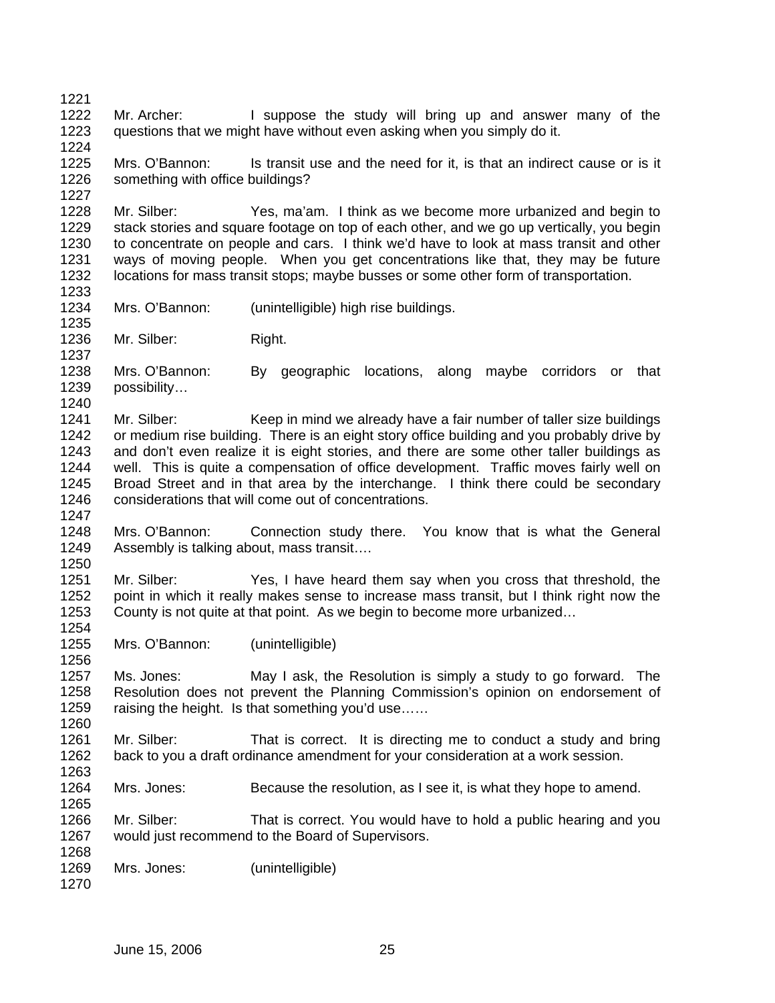1223 1224 1225 1226 1227 1228 1229 1230 1231 1232 1233 1234 1235 1236 1237 1238 1239 1240 1241 1242 1243 1244 1245 1246 1247 1248 1249 1250 1251 1252 1253 1254 questions that we might have without even asking when you simply do it. Mrs. O'Bannon: Is transit use and the need for it, is that an indirect cause or is it something with office buildings? Mr. Silber: Yes, ma'am. I think as we become more urbanized and begin to stack stories and square footage on top of each other, and we go up vertically, you begin to concentrate on people and cars. I think we'd have to look at mass transit and other ways of moving people. When you get concentrations like that, they may be future locations for mass transit stops; maybe busses or some other form of transportation. Mrs. O'Bannon: (unintelligible) high rise buildings. Mr. Silber: Right. Mrs. O'Bannon: By geographic locations, along maybe corridors or that possibility… Mr. Silber: Keep in mind we already have a fair number of taller size buildings or medium rise building. There is an eight story office building and you probably drive by and don't even realize it is eight stories, and there are some other taller buildings as well. This is quite a compensation of office development. Traffic moves fairly well on Broad Street and in that area by the interchange. I think there could be secondary considerations that will come out of concentrations. Mrs. O'Bannon: Connection study there. You know that is what the General Assembly is talking about, mass transit…. Mr. Silber: Yes, I have heard them say when you cross that threshold, the point in which it really makes sense to increase mass transit, but I think right now the County is not quite at that point. As we begin to become more urbanized…

Mr. Archer: I suppose the study will bring up and answer many of the

1255 1256 Mrs. O'Bannon: (unintelligible)

1257 1258 1259 1260 Ms. Jones: May I ask, the Resolution is simply a study to go forward. The Resolution does not prevent the Planning Commission's opinion on endorsement of raising the height. Is that something you'd use……

1261 1262 1263 Mr. Silber: That is correct. It is directing me to conduct a study and bring back to you a draft ordinance amendment for your consideration at a work session.

1264 Mrs. Jones: Because the resolution, as I see it, is what they hope to amend.

1266 1267 1268 Mr. Silber: That is correct. You would have to hold a public hearing and you would just recommend to the Board of Supervisors.

1269 Mrs. Jones: (unintelligible)

1270

1265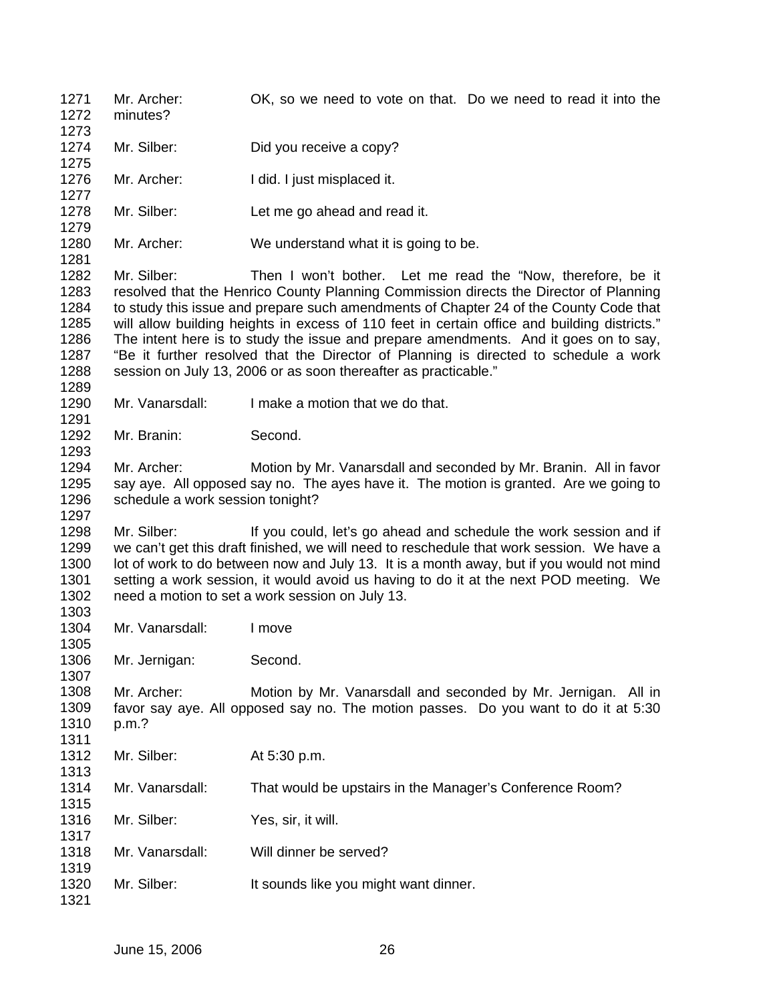1271 1272 1273 1274 1275 1276 1277 1278 1279 1280 1281 1282 1283 1284 1285 1286 1287 1288 1289 1290 1291 1292 1293 1294 1295 1296 1297 1298 1299 1300 1301 1302 1303 1304 1305 1306 1307 1308 1309 1310 1311 1312 1313 1314 1315 1316 1317 1318 1319 1320 1321 Mr. Archer: OK, so we need to vote on that. Do we need to read it into the minutes? Mr. Silber: Did you receive a copy? Mr. Archer: I did. I just misplaced it. Mr. Silber: Let me go ahead and read it. Mr. Archer: We understand what it is going to be. Mr. Silber: Then I won't bother. Let me read the "Now, therefore, be it resolved that the Henrico County Planning Commission directs the Director of Planning to study this issue and prepare such amendments of Chapter 24 of the County Code that will allow building heights in excess of 110 feet in certain office and building districts." The intent here is to study the issue and prepare amendments. And it goes on to say, "Be it further resolved that the Director of Planning is directed to schedule a work session on July 13, 2006 or as soon thereafter as practicable." Mr. Vanarsdall: I make a motion that we do that. Mr. Branin: Second. Mr. Archer: Motion by Mr. Vanarsdall and seconded by Mr. Branin. All in favor say aye. All opposed say no. The ayes have it. The motion is granted. Are we going to schedule a work session tonight? Mr. Silber: If you could, let's go ahead and schedule the work session and if we can't get this draft finished, we will need to reschedule that work session. We have a lot of work to do between now and July 13. It is a month away, but if you would not mind setting a work session, it would avoid us having to do it at the next POD meeting. We need a motion to set a work session on July 13. Mr. Vanarsdall: I move Mr. Jernigan: Second. Mr. Archer: Motion by Mr. Vanarsdall and seconded by Mr. Jernigan. All in favor say aye. All opposed say no. The motion passes. Do you want to do it at 5:30 p.m.? Mr. Silber: At 5:30 p.m. Mr. Vanarsdall: That would be upstairs in the Manager's Conference Room? Mr. Silber: Yes, sir, it will. Mr. Vanarsdall: Will dinner be served? Mr. Silber: It sounds like you might want dinner.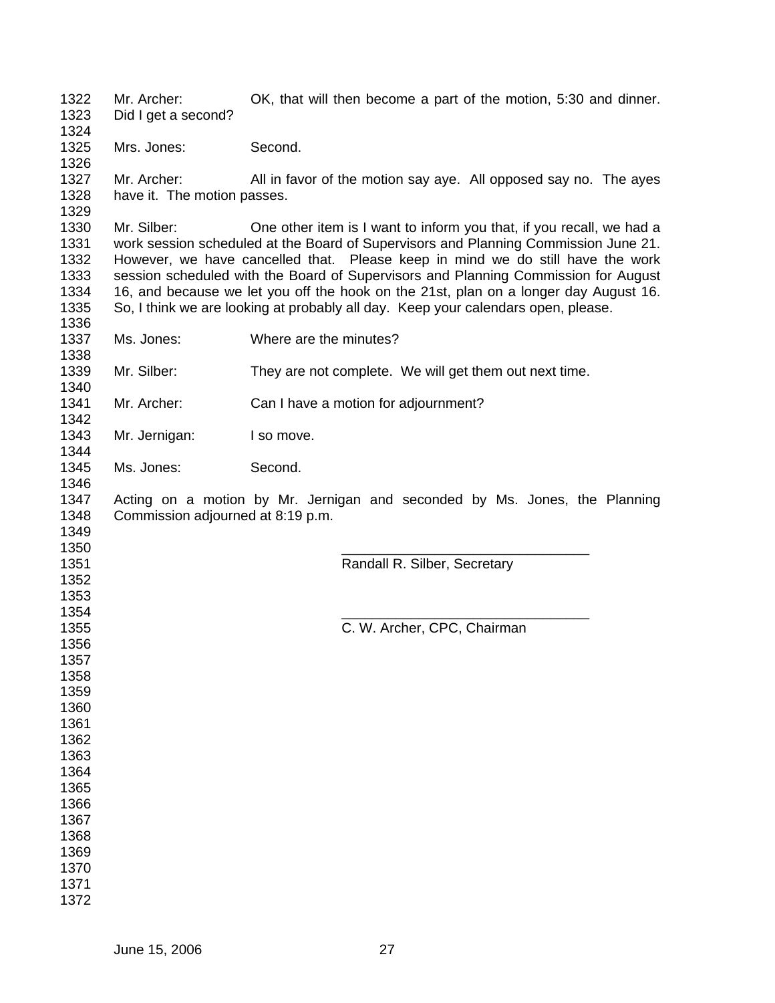Mr. Archer: OK, that will then become a part of the motion, 5:30 and dinner. Did I get a second? Mrs. Jones: Second. Mr. Archer: All in favor of the motion say aye. All opposed say no. The ayes have it. The motion passes. Mr. Silber: One other item is I want to inform you that, if you recall, we had a work session scheduled at the Board of Supervisors and Planning Commission June 21. However, we have cancelled that. Please keep in mind we do still have the work session scheduled with the Board of Supervisors and Planning Commission for August 16, and because we let you off the hook on the 21st, plan on a longer day August 16. So, I think we are looking at probably all day. Keep your calendars open, please. Ms. Jones: Where are the minutes? Mr. Silber: They are not complete. We will get them out next time. Mr. Archer: Can I have a motion for adjournment? Mr. Jernigan: I so move. Ms. Jones: Second. Acting on a motion by Mr. Jernigan and seconded by Ms. Jones, the Planning Commission adjourned at 8:19 p.m.  $\overline{\phantom{a}}$  , and the contract of the contract of the contract of the contract of the contract of the contract of the contract of the contract of the contract of the contract of the contract of the contract of the contrac Randall R. Silber, Secretary  $\overline{\phantom{a}}$  , and the contract of the contract of the contract of the contract of the contract of the contract of the contract of the contract of the contract of the contract of the contract of the contract of the contrac C. W. Archer, CPC, Chairman